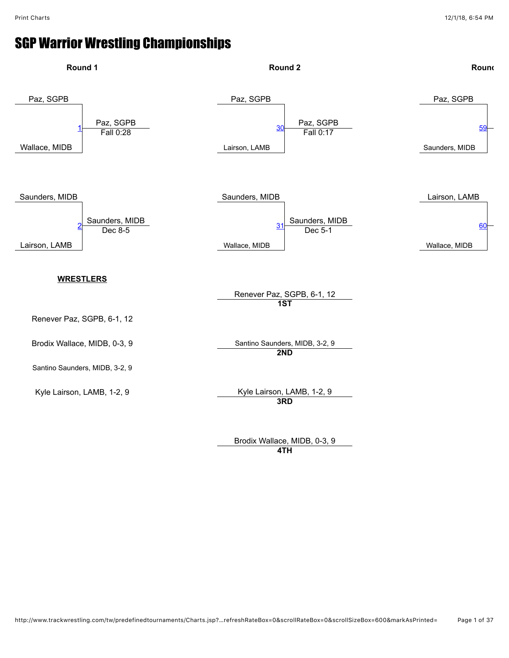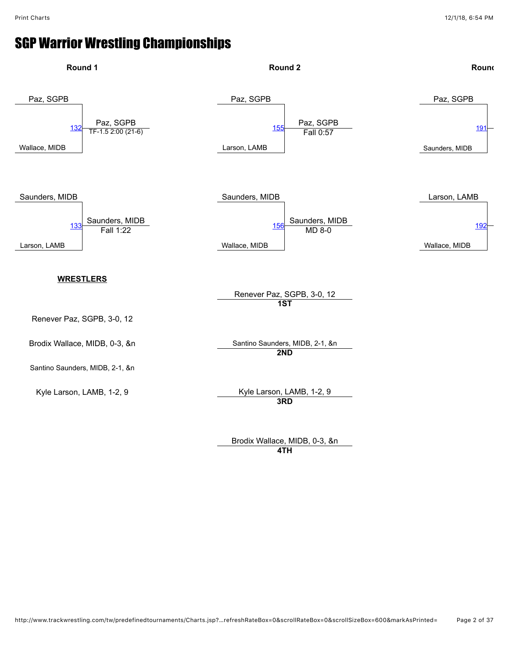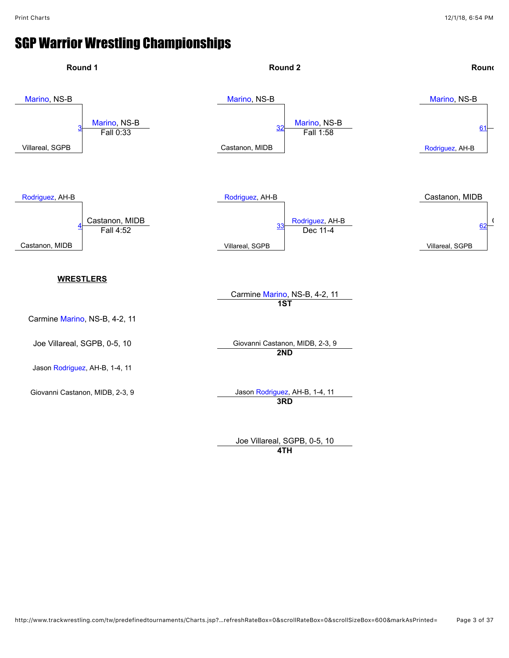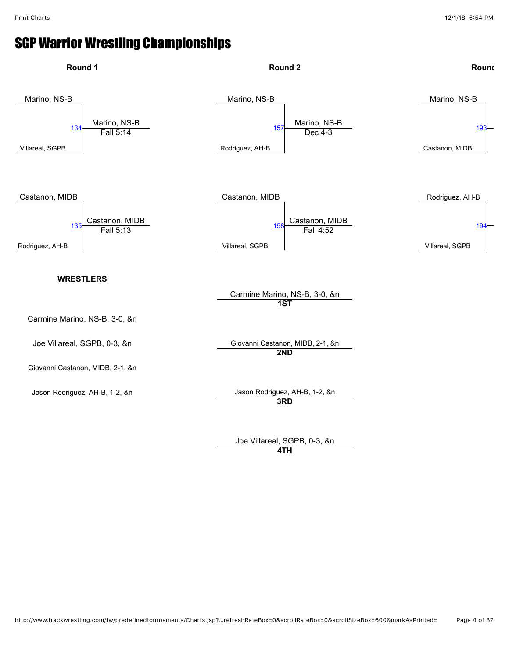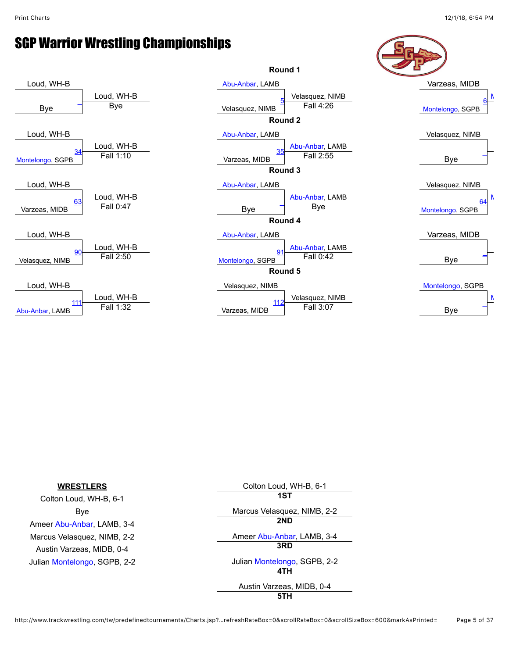

| <b>WRESTLERS</b>             | Colton Loud, WH-B, 6-1       |
|------------------------------|------------------------------|
| Colton Loud, WH-B, 6-1       | 1ST                          |
| Bye                          | Marcus Velasquez, NIMB, 2-2  |
| Ameer Abu-Anbar, LAMB, 3-4   | 2ND                          |
| Marcus Velasquez, NIMB, 2-2  | Ameer Abu-Anbar, LAMB, 3-4   |
| Austin Varzeas, MIDB, 0-4    | 3RD                          |
| Julian Montelongo, SGPB, 2-2 | Julian Montelongo, SGPB, 2-2 |
|                              | 4TH                          |
|                              | Austin Varzeas, MIDB, 0-4    |
|                              | 5TH                          |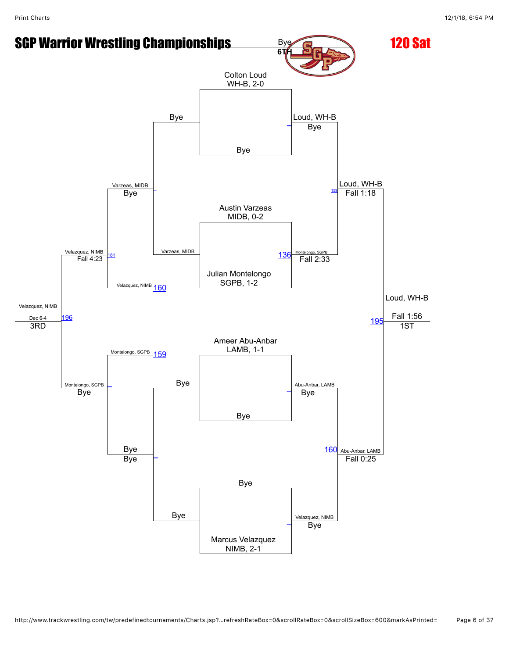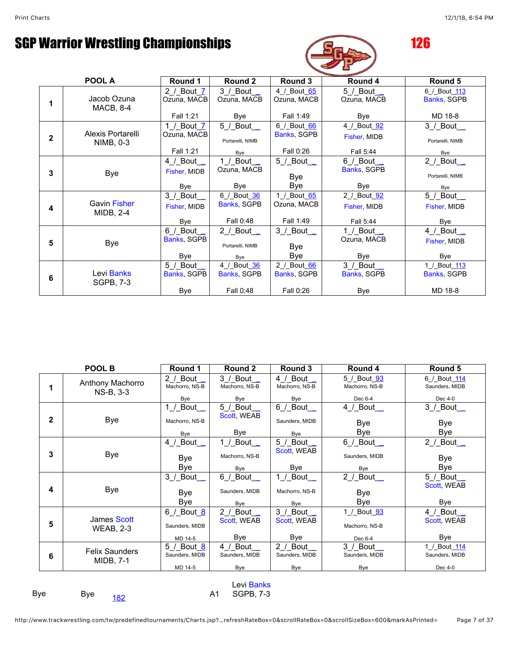

|   | POOL A                           | Round 1                                             | Round 2                                                      | Round 3                                 | Round 4                                  | Round 5                                   |
|---|----------------------------------|-----------------------------------------------------|--------------------------------------------------------------|-----------------------------------------|------------------------------------------|-------------------------------------------|
|   | Jacob Ozuna<br><b>MACB, 8-4</b>  | 2 / Bout 7<br>Ozuna, MACB<br>Fall 1:21              | $3/$ Bout<br>Ozuna, MACB<br>Bye                              | 4 / Bout 65<br>Ozuna, MACB<br>Fall 1:49 | 5 / Bout _<br>Ozuna, MACB<br><b>Bye</b>  | 6 / Bout 113<br>Banks, SGPB<br>MD 18-8    |
| 2 | Alexis Portarelli<br>NIMB, 0-3   | 1 / Bout $\overline{Z}$<br>Ozuna, MACB<br>Fall 1:21 | 5 / Bout $-$<br>Portarelli, NIMB<br>Bye                      | 6 / Bout 66<br>Banks, SGPB<br>Fall 0:26 | 4 / Bout 92<br>Fisher, MIDB<br>Fall 5:44 | $3/$ Bout $\_$<br>Portarelli, NIMB<br>Bye |
| 3 | Bye                              | 4 / Bout _<br>Fisher, MIDB<br>Bye                   | 1 / Bout _<br>Ozuna, MACB<br>Bye                             | $5/$ Bout<br>Bye<br>Bye                 | 6 / Bout _<br>Banks, SGPB<br>Bye         | 2 / Bout $\_$<br>Portarelli, NIMB<br>Bye  |
| 4 | <b>Gavin Fisher</b><br>MIDB, 2-4 | $3$ / Bout<br>Fisher, MIDB<br>Bye                   | 6_/_Bout_36<br>Banks, SGPB<br>Fall 0:48                      | 1_/_Bout_65<br>Ozuna, MACB<br>Fall 1:49 | 2 / Bout 92<br>Fisher, MIDB<br>Fall 5:44 | $5$ / Bout_<br>Fisher, MIDB<br>Bye        |
| 5 | Bye                              | 6 / Bout _<br>Banks, SGPB<br><b>Bye</b>             | 2 / Bout $\overline{\phantom{0}}$<br>Portarelli, NIMB<br>Bye | 3 / Bout _<br>Bye<br>Bye                | 1 / Bout _<br>Ozuna, MACB<br><b>Bye</b>  | $4$ / Bout $\_\_$<br>Fisher, MIDB<br>Bye  |
| 6 | Levi Banks<br><b>SGPB, 7-3</b>   | $5/$ Bout<br>Banks, SGPB<br><b>Bye</b>              | 4_/_Bout_36<br>Banks, SGPB<br>Fall 0:48                      | 2 / Bout 66<br>Banks, SGPB<br>Fall 0:26 | 3 / Bout _<br>Banks, SGPB<br><b>Bye</b>  | 1 / Bout 113<br>Banks, SGPB<br>MD 18-8    |

|            | POOL B                                    | Round 1                                        | Round 2                             | Round 3                                                     | Round 4                                                | Round 5                                   |
|------------|-------------------------------------------|------------------------------------------------|-------------------------------------|-------------------------------------------------------------|--------------------------------------------------------|-------------------------------------------|
| 1          | Anthony Machorro<br>NS-B, 3-3             | $2 /$ Bout<br>Machorro, NS-B<br>Bye            | 3 / Bout _<br>Machorro, NS-B<br>Bye | 4 / Bout<br>Machorro, NS-B<br>Bye                           | 5 / Bout 93<br>Machorro, NS-B<br>Dec 6-4               | 6 / Bout 114<br>Saunders, MIDB<br>Dec 4-0 |
| 2          | <b>Bye</b>                                | 1 / Bout $\_$<br>Machorro, NS-B<br>Bye         | 5 / Bout $\_$<br>Scott, WEAB<br>Bye | $6/$ Bout $\overline{\phantom{a}}$<br>Saunders, MIDB<br>Bye | 4 / Bout _<br>Bye<br>Bye                               | $3$ / Bout_<br>Bye<br>Bye                 |
| 3          | <b>Bye</b>                                | 4 / Bout<br>Bye<br>Bye                         | 1 / Bout _<br>Machorro, NS-B<br>Bye | $5/$ Bout<br>Scott, WEAB<br>Bye                             | $6/$ Bout $\_$<br>Saunders, MIDB<br>Bye                | 2 / Bout $\_$<br>Bye<br>Bye               |
| 4          | <b>Bye</b>                                | $3$ / Bout<br>Bye<br>Bye                       | 6 / Bout _<br>Saunders, MIDB<br>Bye | 1 / Bout _<br>Machorro, NS-B<br>Bye                         | 2 / Bout $\overline{\phantom{0}}$<br><b>Bye</b><br>Bye | 5 / Bout _<br><b>Scott WEAB</b><br>Bye    |
| 5          | James Scott<br><b>WEAB, 2-3</b>           | 6 / Bout <u>8</u><br>Saunders, MIDB<br>MD 14-5 | 2 / Bout _<br>Scott, WEAB<br>Bye    | 3 / Bout _<br>Scott, WEAB<br>Bye                            | 1 / Bout 93<br>Machorro, NS-B<br>Dec 6-4               | 4 / Bout _<br>Scott, WEAB<br>Bye          |
| 6          | <b>Felix Saunders</b><br><b>MIDB, 7-1</b> | 5 / Bout 8<br>Saunders, MIDB<br>MD 14-5        | 4 / Bout<br>Saunders, MIDB<br>Bye   | 2 / Bout<br>Saunders, MIDB<br>Bye                           | 3 / Bout<br>Saunders, MIDB<br>Bye                      | 1 / Bout 114<br>Saunders, MIDB<br>Dec 4-0 |
| Levi Banks |                                           |                                                |                                     |                                                             |                                                        |                                           |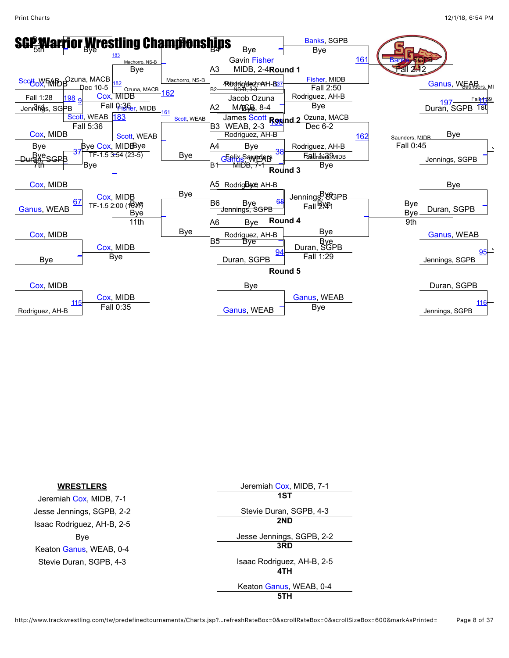

| <b>WRESTLERS</b>           | Jeremiah Cox, MIDB, 7-1    |
|----------------------------|----------------------------|
| Jeremiah Cox, MIDB, 7-1    | 1ST                        |
| Jesse Jennings, SGPB, 2-2  | Stevie Duran, SGPB, 4-3    |
| Isaac Rodriguez, AH-B, 2-5 | 2ND                        |
| Bye                        | Jesse Jennings, SGPB, 2-2  |
| Keaton Ganus, WEAB, 0-4    | 3RD                        |
| Stevie Duran, SGPB, 4-3    | Isaac Rodriguez, AH-B, 2-5 |
|                            | 4TH                        |
|                            | Keaton Ganus, WEAB, 0-4    |
|                            | 5TH                        |

http://www.trackwrestling.com/tw/predefinedtournaments/Charts.jsp?…refreshRateBox=0&scrollRateBox=0&scrollSizeBox=600&markAsPrinted= Page 8 of 37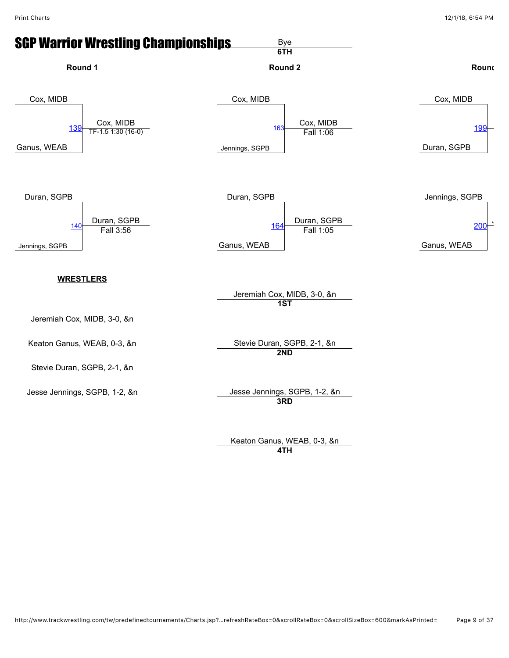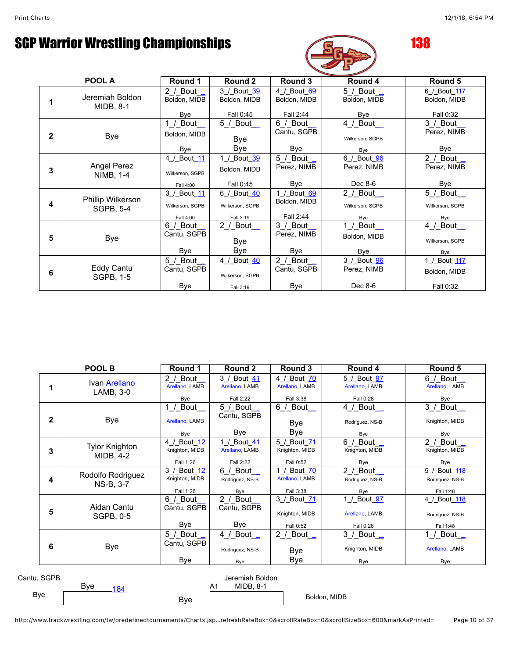Bye

# SGP Warrior Wrestling Championships **138**



|              | POOL A                                 | Round 1                                     | Round 2                                     | Round 3                                  | Round 4                                                     | Round 5                                   |
|--------------|----------------------------------------|---------------------------------------------|---------------------------------------------|------------------------------------------|-------------------------------------------------------------|-------------------------------------------|
|              | Jeremiah Boldon<br><b>MIDB, 8-1</b>    | 2 / Bout $\_$<br>Boldon, MIDB<br>Bye        | 3 / Bout 39<br>Boldon, MIDB<br>Fall 0:45    | 4 / Bout 69<br>Boldon, MIDB<br>Fall 2:44 | $5$ / Bout_<br>Boldon, MIDB<br>Bye                          | 6 / Bout 117<br>Boldon, MIDB<br>Fall 0:32 |
| $\mathbf{2}$ | <b>Bye</b>                             | $1$ / Bout<br>Boldon, MIDB<br>Bye           | $5/$ Bout $\_$<br>Bye<br>Bye                | $6/$ Bout<br>Cantu, SGPB<br>Bye          | 4 / Bout _<br>Wilkerson, SGPB<br>Bye                        | 3 / Bout _<br>Perez, NIMB<br>Bye          |
| 3            | <b>Angel Perez</b><br><b>NIMB, 1-4</b> | 4 / Bout 11<br>Wilkerson, SGPB<br>Fall 4:00 | 1_/_Bout_39<br>Boldon, MIDB<br>Fall 0:45    | 5 / Bout _<br>Perez, NIMB<br>Bye         | 6_/_Bout_96<br>Perez, NIMB<br>Dec 8-6                       | $2$ / Bout<br>Perez, NIMB<br>Bye          |
| 4            | Phillip Wilkerson<br><b>SGPB, 5-4</b>  | 3 / Bout 11<br>Wilkerson, SGPB<br>Fall 4:00 | 6 / Bout 40<br>Wilkerson, SGPB<br>Fall 3:19 | 1 / Bout 69<br>Boldon, MIDB<br>Fall 2:44 | 2 / Bout $\overline{\phantom{0}}$<br>Wilkerson, SGPB<br>Bye | $5$ / Bout_<br>Wilkerson, SGPB<br>Bye     |
| 5            | Bye                                    | 6 / Bout<br>Cantu, SGPB<br><b>Bye</b>       | 2 / Bout _<br>Bye<br>Bye                    | 3 / Bout<br>Perez, NIMB<br>Bye           | 1_/_Bout_ <b>_</b><br>Boldon, MIDB<br>Bye                   | 4_/_Bout__<br>Wilkerson, SGPB<br>Bye      |
| 6            | Eddy Cantu<br>SGPB, 1-5                | $5/$ Bout<br>Cantu, SGPB<br><b>Bye</b>      | 4 / Bout 40<br>Wilkerson, SGPB<br>Fall 3:19 | 2 / Bout<br>Cantu, SGPB<br><b>Bye</b>    | 3 / Bout 96<br>Perez, NIMB<br>Dec 8-6                       | 1 / Bout 117<br>Boldon, MIDB<br>Fall 0:32 |

|              | POOL B                                                  | Round 1                                    | Round 2                                    | Round 3                                    | Round 4                                    | Round 5                                      |
|--------------|---------------------------------------------------------|--------------------------------------------|--------------------------------------------|--------------------------------------------|--------------------------------------------|----------------------------------------------|
| 1            | Ivan Arellano<br>LAMB, 3-0                              | 2 / Bout $\_$<br>Arellano, LAMB<br>Bye     | 3 / Bout 41<br>Arellano, LAMB<br>Fall 2:22 | 4 / Bout 70<br>Arellano, LAMB<br>Fall 3:38 | 5 / Bout 97<br>Arellano, LAMB<br>Fall 0:28 | 6 / Bout _<br>Arellano, LAMB<br>Bye          |
| $\mathbf{2}$ | Bye                                                     | 1 / Bout $\_$<br>Arellano, LAMB<br>Bye     | 5 / Bout _<br>Cantu, SGPB<br>Bye           | $6/$ Bout $\_$<br>Bye<br>Bye               | 4 / Bout _<br>Rodriguez, NS-B<br>Bye       | 3 /_Bout__<br>Knighton, MIDB<br>Bye          |
| 3            | <b>Tylor Knighton</b><br>MIDB, 4-2                      | 4 / Bout 12<br>Knighton, MIDB<br>Fall 1:26 | 1 / Bout 41<br>Arellano, LAMB<br>Fall 2:22 | 5 / Bout 71<br>Knighton, MIDB<br>Fall 0:52 | $6/$ Bout $\_$<br>Knighton, MIDB<br>Bye    | 2 / Bout _<br>Knighton, MIDB<br>Bye          |
| 4            | Rodolfo Rodriguez<br>NS-B, 3-7                          | 3 / Bout 12<br>Knighton, MIDB<br>Fall 1:26 | 6 / Bout $\_$<br>Rodriguez, NS-B<br>Bye    | 1 / Bout 70<br>Arellano, LAMB<br>Fall 3:38 | 2 / Bout<br>Rodriguez, NS-B<br>Bye         | 5 / Bout 118<br>Rodriguez, NS-B<br>Fall 1:48 |
| 5            | Aidan Cantu<br>SGPB, 0-5                                | 6 / Bout<br>Cantu, SGPB<br>Bye             | 2 / Bout $\_$<br>Cantu, SGPB<br>Bye        | 3 / Bout 71<br>Knighton, MIDB<br>Fall 0:52 | 1_/_Bout_97<br>Arellano, LAMB<br>Fall 0:28 | 4 / Bout 118<br>Rodriguez, NS-B<br>Fall 1:48 |
| 6            | <b>Bye</b>                                              | $5/$ Bout<br>Cantu, SGPB<br>Bye            | 4 / Bout _<br>Rodriguez, NS-B<br>Bye       | 2 / Bout $\_$<br>Bye<br>Bye                | 3 / Bout _<br>Knighton, MIDB<br>Bye        | 1 / Bout _<br>Arellano, LAMB<br>Bye          |
| Cantu, SGPB  | Jeremiah Boldon<br>Bye<br><b>MIDB, 8-1</b><br>A1<br>184 |                                            |                                            |                                            |                                            |                                              |

Boldon, MIDB

Bye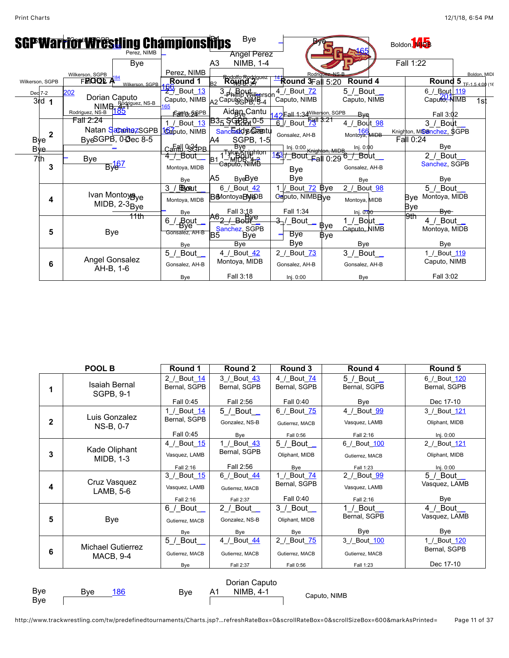|                             | <b>SGPWarrior Wrestling Championships</b><br>Perez. NIMB |                                      | <b>Bye</b><br><b>Angel Perez</b>                                       |                                                  |                                               | Boldon, M <sub>DB</sub>                     |
|-----------------------------|----------------------------------------------------------|--------------------------------------|------------------------------------------------------------------------|--------------------------------------------------|-----------------------------------------------|---------------------------------------------|
|                             | Bye                                                      |                                      | NIMB, 1-4<br>A <sub>3</sub>                                            |                                                  |                                               | Fall 1:22                                   |
| Wilkerson, SGPB             | Wilkerson, SGPB<br><b>FROOL</b><br>Wilkerson, SGPB       | Perez, NIMB<br>Round 1               | Round<br>R <sub>2</sub>                                                | Rodric<br>$\frac{14}{2}$ Round 3Fall 5:20        | Round 4                                       | Boldon, MIDI<br>Round 5<br>TF-1.5 4:00 (16) |
| Dec 7-2<br>3rd <sub>1</sub> | 202<br>Dorian Caputo<br>NIMB. Rodriguez, NS-B            | <b>PO</b> _Bout_13                   | 3 Phimp Wilkerson<br>Caputo, NIMB A2 Caputo BLMB 4                     | 4 / Bout 72<br>Caputo, NIMB                      | 5 / Bout _<br>Caputo, NIMB                    | 6 / Bout 119<br>Caputo, NIMB<br>1st         |
|                             | 185<br>Rodriguez, NS-B<br>Fall 2:24                      | Eanth SGPB<br>1 / Bout 13            | Aidan-Cantu<br>B35 SGRR <sub>10-5</sub>                                | 42 Eall 1:34 Wilkerson, SGPB<br>6 / Bout 53 1    | <b>B</b> ve<br>Bout 98<br>4 /                 | Fall 3:02<br>3 / Bout                       |
| 2<br><b>Bye</b>             | Natan SacantezSGPB<br>ByeSGPB, 0-3ec 8-5                 | 162puto, NIMB                        | Sanched & Crastu<br><b>SGPB, 1-5</b><br>A4                             | Gonsalez, AH-B                                   | 166<br>Montoya, MIDB                          | Knighton, MISanchez, SGPB<br>Fall 0:24      |
| <b>Bye</b>                  |                                                          | Canall Os?4PR<br>4 / Bout _          | Bve                                                                    | Inj. 0:00 Knighton, MIDB                         | Inj. 0:00                                     | Bye<br>2 / Bout _                           |
| 7th<br>3                    | <b>Bye</b><br>$B\sqrt{67}$                               | Montoya, MIDB                        | _TylorXriighton<br>__MIDB <sup>U</sup> 4- <del>2</del><br>Caputo, NIMB | 153/ Bout Fall<br><b>Bye</b>                     | 0:29 <sup>6_/_Bout</sup><br>Gonsalez, AH-B    | Sanchez, SGPB                               |
|                             |                                                          | Bye                                  | A5<br><b>ByeBye</b>                                                    | Bye                                              | Bye                                           | Bye                                         |
| 4                           | Ivan Montoyaye<br>$MIDB, 2-3Bye$                         | 3<br><b>BByocut</b><br>Montoya, MIDB | 6 / Bout 42<br>B6MontoyaBMDB                                           | Bout_72 Bye<br>1 <sub>l</sub><br>Caputo, NIMBBye | 2_/_Bout_98<br>Montoya, MIDB                  | 5 / Bout _<br>Bye Montoya, MIDB             |
|                             | <del>11th</del>                                          | Bye                                  | Fall 3:18                                                              | Fall 1:34                                        | Inj. $0.00$                                   | Bye<br><del>Bye</del><br>9th                |
| 5                           | <b>Bye</b>                                               | Bout<br>Bye<br>6.<br>Gonsalez, AH-B  | $B$ egke<br>Sanchez, SGPB<br>B <sub>5</sub><br>Bve                     | $\frac{3}{2}$ / Bout<br>Bye                      | 1 / Bout<br>Bye<br>Caputo, NIMB<br><b>Bye</b> | 4 / Bout _<br>Montoya, MIDB                 |
|                             |                                                          | Bye                                  | Bye                                                                    | Bye                                              | Bye                                           | Bye                                         |
| 6                           | Angel Gonsalez<br>AH-B, 1-6                              | 5 / Bout _<br>Gonsalez, AH-B         | 4 / Bout 42<br>Montoya, MIDB                                           | 2 / Bout 73<br>Gonsalez, AH-B                    | $3 /$ Bout<br>Gonsalez, AH-B                  | 1_/_Bout_119<br>Caputo, NIMB                |
|                             |                                                          | Bye                                  | Fall 3:18                                                              | Inj. 0:00                                        | Bye                                           | Fall 3:02                                   |

|                                                                                                          | POOL B                                       | Round 1                     | Round 2                           | Round 3                        | Round 4                        | Round 5                        |
|----------------------------------------------------------------------------------------------------------|----------------------------------------------|-----------------------------|-----------------------------------|--------------------------------|--------------------------------|--------------------------------|
| 1                                                                                                        | <b>Isaiah Bernal</b><br>SGPB, 9-1            | 2 / Bout 14<br>Bernal, SGPB | 3 / Bout 43<br>Bernal, SGPB       | 4 / Bout 74<br>Bernal, SGPB    | $5/$ Bout $\_$<br>Bernal, SGPB | 6 / Bout 120<br>Bernal, SGPB   |
|                                                                                                          |                                              | Fall 0:45                   | Fall 2:56                         | Fall 0:40                      | <b>Bye</b>                     | Dec 17-10                      |
| 2                                                                                                        | Luis Gonzalez<br>NS-B, 0-7                   | 1 / Bout 14<br>Bernal, SGPB | 5 / Bout $\_$<br>Gonzalez, NS-B   | 6 / Bout 75<br>Gutierrez, MACB | 4 / Bout 99<br>Vasquez, LAMB   | 3 / Bout 121<br>Oliphant, MIDB |
|                                                                                                          |                                              | Fall 0:45                   | Bye                               | Fall 0:56                      | Fall 2:16                      | Inj. 0:00                      |
|                                                                                                          |                                              | 4_/_Bout_15                 | 1 / Bout 43                       | 5 / Bout _                     | 6 / Bout 100                   | 2 / Bout 121                   |
| 3                                                                                                        | Kade Oliphant<br>MIDB, 1-3                   | Vasquez, LAMB               | Bernal, SGPB                      | Oliphant, MIDB                 | Gutierrez, MACB                | Oliphant, MIDB                 |
|                                                                                                          |                                              | Fall 2:16                   | Fall 2:56                         | Bye                            | Fall 1:23                      | Inj. 0:00                      |
|                                                                                                          |                                              | 3_/_Bout_15                 | 6 / Bout 44                       | 1_/_Bout_74                    | 2_/_Bout_99                    | 5 / Bout _                     |
| 4                                                                                                        | Cruz Vasquez<br>LAMB, 5-6                    | Vasquez, LAMB               | Gutierrez, MACB                   | Bernal, SGPB                   | Vasquez, LAMB                  | Vasquez, LAMB                  |
|                                                                                                          |                                              | Fall 2:16                   | Fall 2:37                         | Fall 0:40                      | Fall 2:16                      | Bye                            |
|                                                                                                          |                                              | 6 / Bout                    | 2 / Bout $\overline{\phantom{0}}$ | 3 / Bout _                     | 1 / Bout _                     | 4 / Bout _                     |
| 5                                                                                                        | <b>Bye</b>                                   | Gutierrez, MACB             | Gonzalez, NS-B                    | Oliphant, MIDB                 | Bernal, SGPB                   | Vasquez, LAMB                  |
|                                                                                                          |                                              | Bye                         | Bye                               | Bye                            | Bye                            | Bye                            |
|                                                                                                          |                                              | 5 / Bout                    | 4 / Bout 44                       | 2 / Bout 75                    | 3_/_Bout_100                   | 1 / Bout 120                   |
| 6                                                                                                        | <b>Michael Gutierrez</b><br><b>MACB, 9-4</b> | Gutierrez, MACB             | Gutierrez, MACB                   | Gutierrez, MACB                | Gutierrez, MACB                | Bernal, SGPB                   |
|                                                                                                          |                                              | Bye                         | Fall 2:37                         | Fall 0:56                      | Fall 1:23                      | Dec 17-10                      |
| Dorian Caputo<br>Bye<br><b>Bye</b><br><b>NIMB, 4-1</b><br><b>Bye</b><br>A1<br><u>186</u><br>Caputo, NIMB |                                              |                             |                                   |                                |                                |                                |

Bye

http://www.trackwrestling.com/tw/predefinedtournaments/Charts.jsp?…refreshRateBox=0&scrollRateBox=0&scrollSizeBox=600&markAsPrinted= Page 11 of 37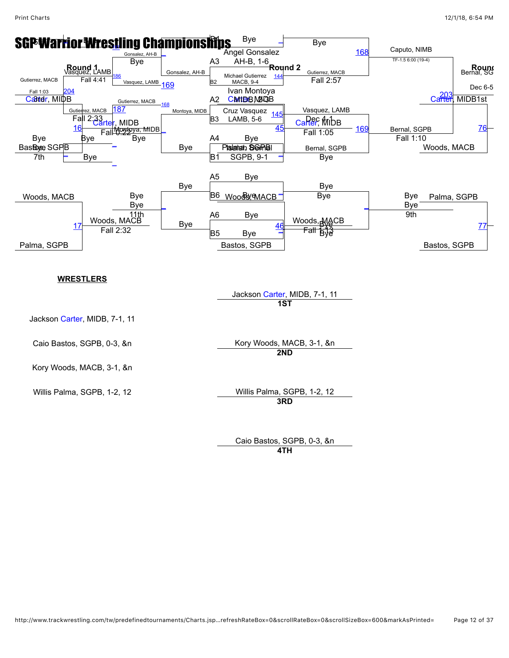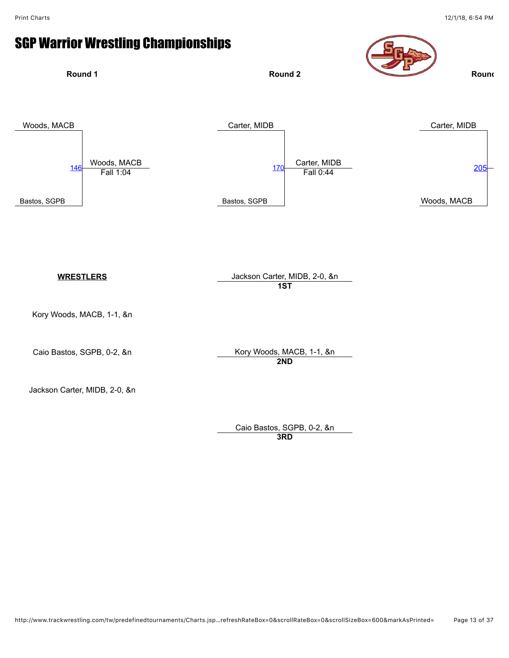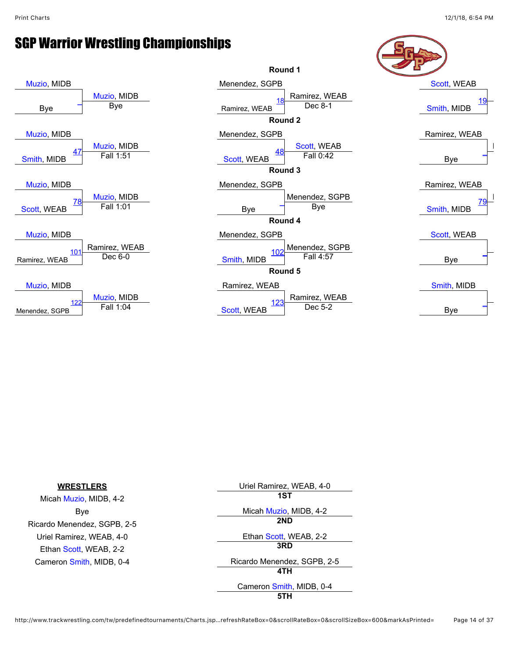

| <b>WRESTLERS</b>            | Uriel Ramirez, WEAB, 4-0    |
|-----------------------------|-----------------------------|
| Micah Muzio, MIDB, 4-2      | 1ST                         |
| Bye                         | Micah Muzio, MIDB, 4-2      |
| Ricardo Menendez, SGPB, 2-5 | 2ND                         |
| Uriel Ramirez, WEAB, 4-0    | Ethan Scott, WEAB, 2-2      |
| Ethan Scott, WEAB, 2-2      | 3RD                         |
| Cameron Smith, MIDB, 0-4    | Ricardo Menendez, SGPB, 2-5 |
|                             | 4TH                         |
|                             | Cameron Smith, MIDB, 0-4    |
|                             | 5TH                         |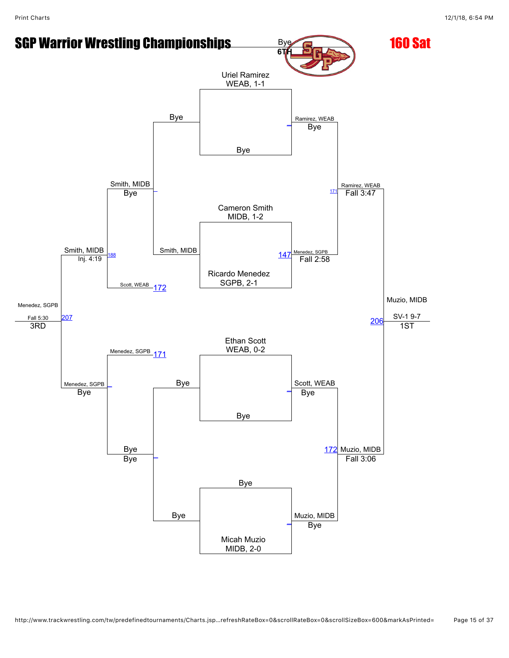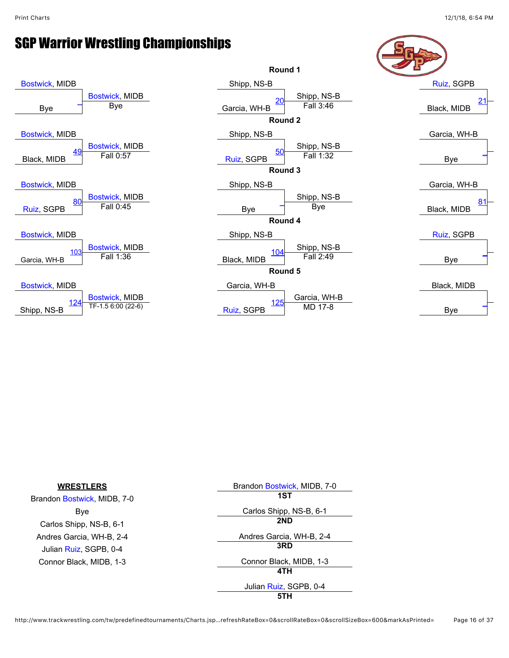

| <b>WRESTLERS</b>            | Brandon Bostwick, MIDB, 7-0 |
|-----------------------------|-----------------------------|
| Brandon Bostwick, MIDB, 7-0 | 1ST                         |
| Bye                         | Carlos Shipp, NS-B, 6-1     |
| Carlos Shipp, NS-B, 6-1     | 2ND                         |
| Andres Garcia, WH-B, 2-4    | Andres Garcia, WH-B, 2-4    |
| Julian Ruiz, SGPB, 0-4      | 3RD                         |
| Connor Black, MIDB, 1-3     | Connor Black, MIDB, 1-3     |
|                             | 4TH                         |
|                             | Julian Ruiz, SGPB, 0-4      |
|                             | 5TH                         |

http://www.trackwrestling.com/tw/predefinedtournaments/Charts.jsp…refreshRateBox=0&scrollRateBox=0&scrollSizeBox=600&markAsPrinted= Page 16 of 37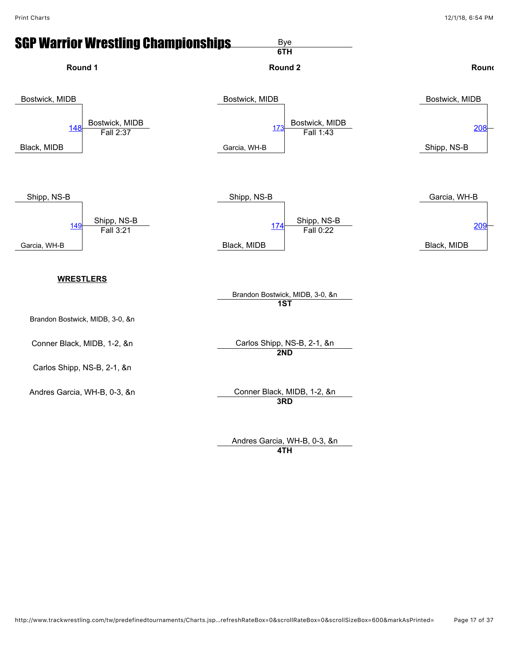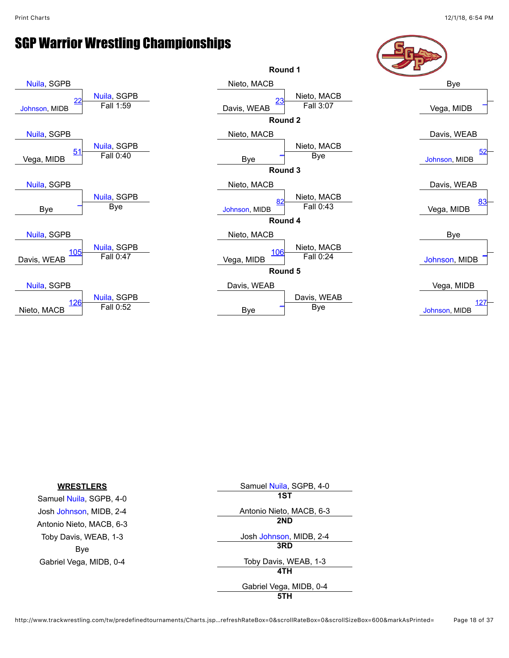

| <b>WRESTLERS</b>         | Samuel Nuila, SGPB, 4-0  |
|--------------------------|--------------------------|
| Samuel Nuila, SGPB, 4-0  | 1ST                      |
| Josh Johnson, MIDB, 2-4  | Antonio Nieto, MACB, 6-3 |
| Antonio Nieto, MACB, 6-3 | 2ND                      |
| Toby Davis, WEAB, 1-3    | Josh Johnson, MIDB, 2-4  |
| Bye                      | 3RD                      |
| Gabriel Vega, MIDB, 0-4  | Toby Davis, WEAB, 1-3    |
|                          | 4TH                      |
|                          | Gabriel Vega, MIDB, 0-4  |
|                          | 5TH                      |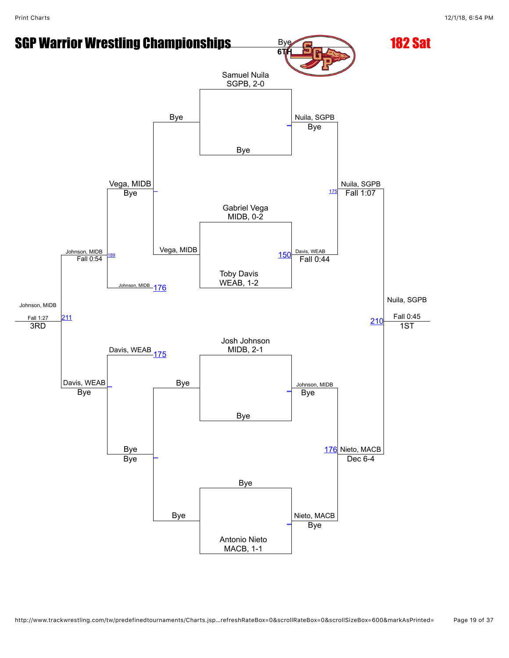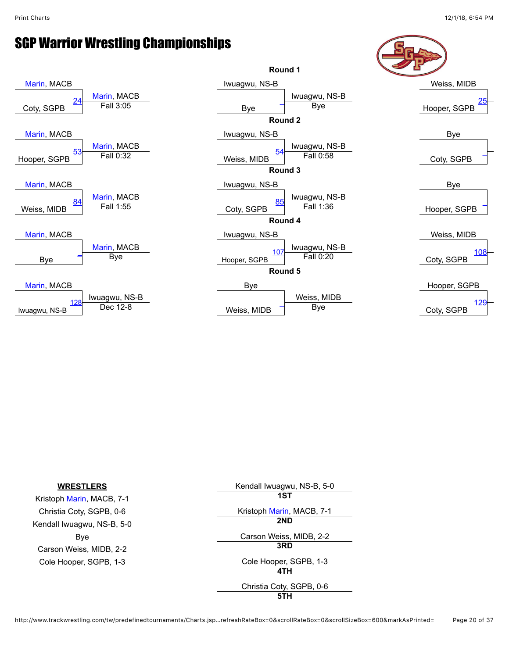

| <b>WRESTLERS</b>           | Kendall Iwuagwu, NS-B, 5-0 |
|----------------------------|----------------------------|
| Kristoph Marin, MACB, 7-1  | 1ST                        |
| Christia Coty, SGPB, 0-6   | Kristoph Marin, MACB, 7-1  |
| Kendall Iwuagwu, NS-B, 5-0 | 2ND                        |
| Bye                        | Carson Weiss, MIDB, 2-2    |
| Carson Weiss, MIDB, 2-2    | 3RD                        |
| Cole Hooper, SGPB, 1-3     | Cole Hooper, SGPB, 1-3     |
|                            | 4TH                        |
|                            | Christia Coty, SGPB, 0-6   |
|                            | 5TH                        |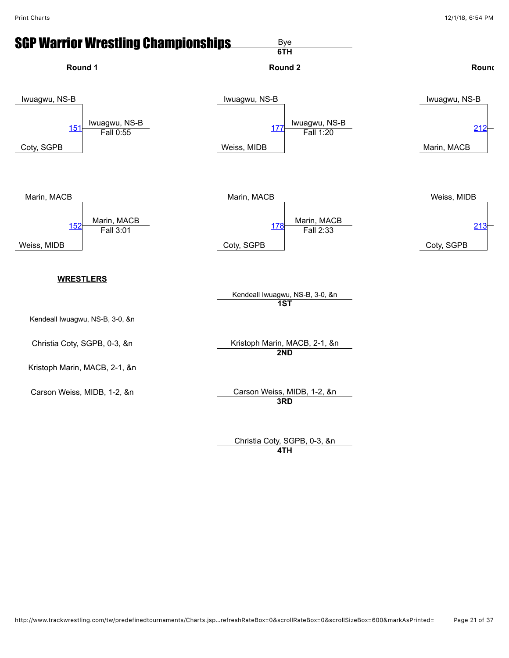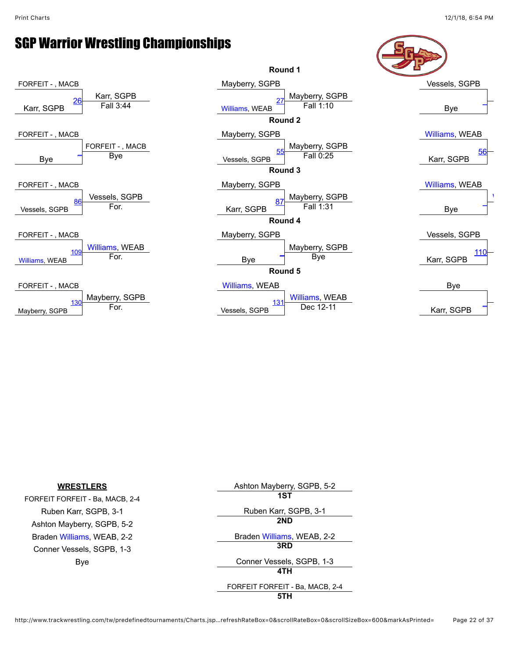

| <b>WRESTLERS</b>                | Ashton Mayberry, SGPB, 5-2      |
|---------------------------------|---------------------------------|
| FORFEIT FORFEIT - Ba, MACB, 2-4 | 1ST                             |
| Ruben Karr, SGPB, 3-1           | Ruben Karr, SGPB, 3-1           |
| Ashton Mayberry, SGPB, 5-2      | 2ND                             |
| Braden Williams, WEAB, 2-2      | Braden Williams, WEAB, 2-2      |
| Conner Vessels, SGPB, 1-3       | 3RD                             |
| Bye                             | Conner Vessels, SGPB, 1-3       |
|                                 | 4TH                             |
|                                 | FORFEIT FORFEIT - Ba, MACB, 2-4 |
|                                 | 5TH                             |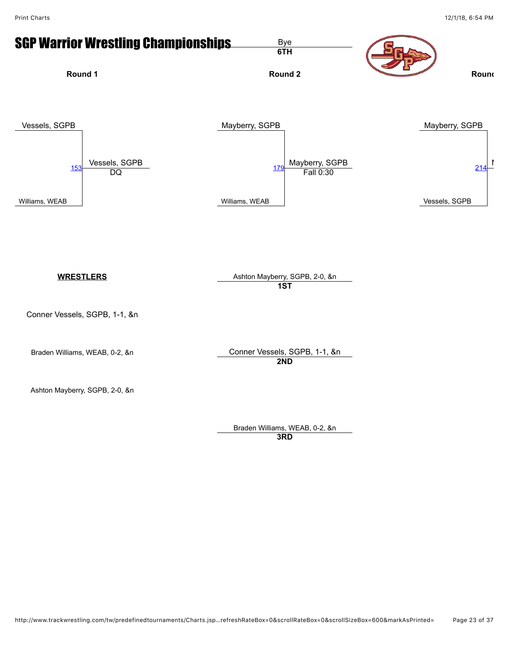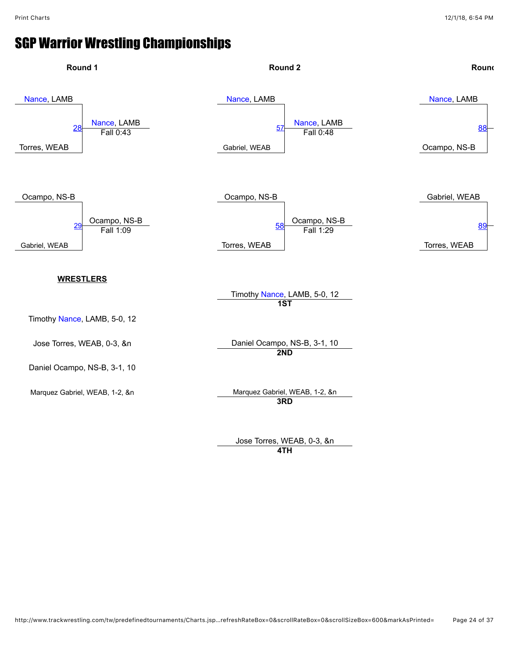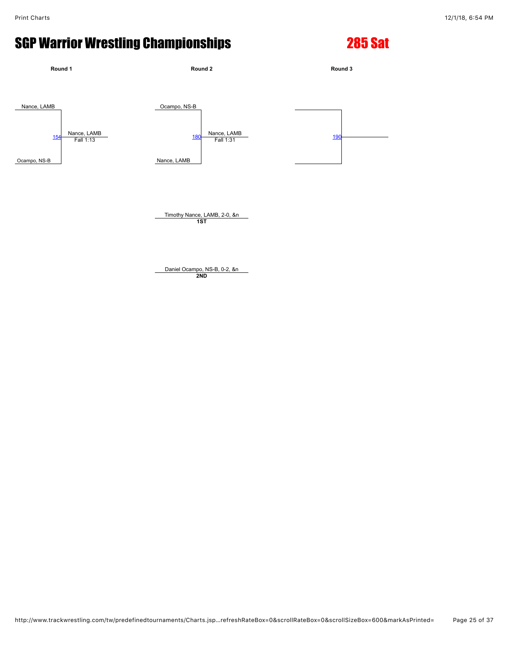# SGP Warrior Wrestling Championships 285 Sat



**Round 1 Round 2 Round 3** Nance, LAMB Nance, LAMB<br>Fall 1:13 Ocampo, NS-B Nance, LAMB<br>Fall 1:31 Ocampo, NS-B [154](javascript:openBoutSheet(1,) Nance, LAMB <u>[180](javascript:openBoutSheet(2,) Nation Entitled Both Control 180 National Control [190](javascript:openBoutSheet(3,) National Control 190 National Control 190 National Control 190 National Control 190 National Control 190 National Control 190 National Control 190 National Control</u> Timothy Nance, LAMB, 2-0, &n **1ST**

> Daniel Ocampo, NS-B, 0-2, &n **2ND**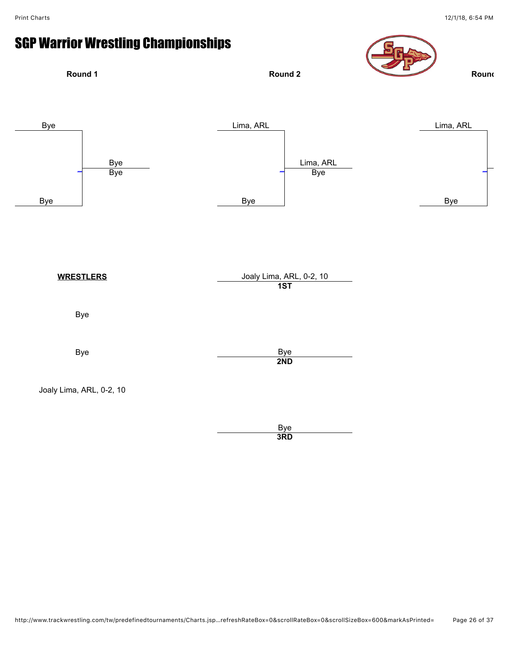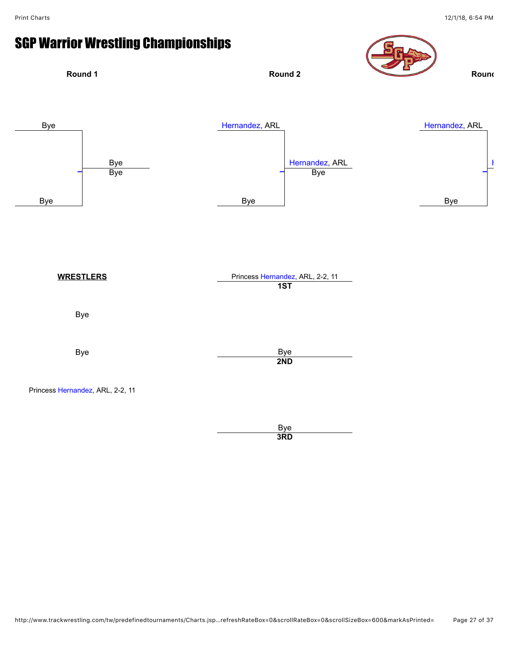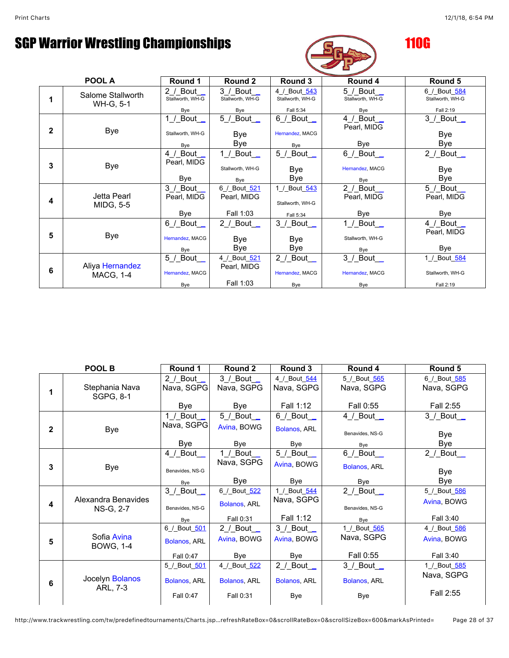

|   | POOL A                              | Round 1                               | Round 2                                  | Round 3                                       | Round 4                                      | Round 5                                       |  |  |  |
|---|-------------------------------------|---------------------------------------|------------------------------------------|-----------------------------------------------|----------------------------------------------|-----------------------------------------------|--|--|--|
|   | Salome Stallworth<br>WH-G, 5-1      | 2 / Bout<br>Stallworth, WH-G<br>Bye   | $3/$ Bout<br>Stallworth, WH-G<br>Bye     | 4 / Bout 543<br>Stallworth, WH-G<br>Fall 5:34 | $5/$ Bout $\_$<br>Stallworth, WH-G<br>Bye    | 6 / Bout 584<br>Stallworth, WH-G<br>Fall 2:19 |  |  |  |
| 2 | <b>Bye</b>                          | 1 / $Bout$<br>Stallworth, WH-G<br>Bye | $5/$ Bout $\_$<br>Bye<br>Bye             | $6$ / Bout<br>Hernandez, MACG<br>Bye          | 4 / Bout _<br>Pearl, MIDG<br>Bye             | $3$ / Bout<br>Bye<br><b>Bye</b>               |  |  |  |
| 3 | Bye                                 | 4 / Bout _<br>Pearl, MIDG<br>Bye      | 1 / Bout _<br>Stallworth, WH-G<br>Bye    | 5 / Bout _<br>Bye<br>Bye                      | $6$ / Bout $-$<br>Hernandez, MACG<br>Bye     | 2_/_Bout_<br>Bye<br>Bye                       |  |  |  |
| 4 | Jetta Pearl<br><b>MIDG, 5-5</b>     | 3 / Bout _<br>Pearl, MIDG<br>Bye      | 6 / Bout 521<br>Pearl, MIDG<br>Fall 1:03 | 1 / Bout 543<br>Stallworth, WH-G<br>Fall 5:34 | 2 / Bout _<br>Pearl, MIDG<br>Bye             | 5_/_Bout_<br>Pearl, MIDG<br>Bye               |  |  |  |
| 5 | <b>Bye</b>                          | 6 / Bout _<br>Hernandez, MACG<br>Bye  | 2 /_Bout_<br>Bye<br>Bye                  | $3$ / Bout<br>Bye<br>Bye                      | $1$ / Bout $\_\_$<br>Stallworth, WH-G<br>Bye | $4$ / Bout<br>Pearl, MIDG<br>Bye              |  |  |  |
| 6 | Aliya Hernandez<br><b>MACG, 1-4</b> | 5_/_Bout_<br>Hernandez, MACG<br>Bye   | 4 / Bout 521<br>Pearl, MIDG<br>Fall 1:03 | 2 / Bout _<br>Hernandez, MACG<br>Bye          | $3$ / Bout $\_\_$<br>Hernandez, MACG<br>Bye  | 1 / Bout 584<br>Stallworth, WH-G<br>Fall 2:19 |  |  |  |

|                | POOL B                           | Round 1                                                | Round 2                                          | Round 3                                                   | Round 4                                                     | Round 5                                  |
|----------------|----------------------------------|--------------------------------------------------------|--------------------------------------------------|-----------------------------------------------------------|-------------------------------------------------------------|------------------------------------------|
| 1              | Stephania Nava<br>SGPG, 8-1      | 2 / Bout $\overline{\phantom{0}}$<br>Nava, SGPG<br>Bye | $3/$ Bout $\_$<br>Nava, SGPG<br>Bye              | 4 / Bout 544<br>Nava, SGPG<br>Fall 1:12                   | 5 / Bout 565<br>Nava, SGPG<br>Fall 0:55                     | 6 / Bout 585<br>Nava, SGPG<br>Fall 2:55  |
| $\overline{2}$ | <b>Bye</b>                       | 1 / Bout<br>Nava, SGPG<br>Bye                          | $5/$ Bout $\_$<br>Avina, BOWG<br>Bye             | $6/$ Bout $\_$<br>Bolanos, ARL<br>Bye                     | 4 / Bout $\overline{\phantom{0}}$<br>Benavides, NS-G<br>Bye | $3/$ Bout $\_$<br>Bye<br>Bye             |
| 3              | <b>Bye</b>                       | 4 / Bout _<br>Benavides, NS-G<br>Bye                   | 1 / Bout $\_$<br>Nava, SGPG<br>Bye               | $5$ / Bout $\overline{\phantom{a}}$<br>Avina, BOWG<br>Bye | $6/$ Bout $\_$<br>Bolanos, ARL<br>Bye                       | $2$ / Bout $\_\_$<br>Bye<br>Bye          |
| 4              | Alexandra Benavides<br>NS-G, 2-7 | 3 / Bout _<br>Benavides, NS-G<br>Bye                   | 6_/_Bout_522<br>Bolanos, ARL<br>Fall 0:31        | 1 / Bout 544<br>Nava, SGPG<br>Fall 1:12                   | 2 / Bout $\_$<br>Benavides, NS-G<br>Bye                     | 5 / Bout 586<br>Avina, BOWG<br>Fall 3:40 |
| 5              | Sofia Avina<br><b>BOWG, 1-4</b>  | 6 / Bout 501<br><b>Bolanos, ARL</b><br>Fall 0:47       | $2$ / Bout_<br>Avina, BOWG<br>Bye                | $3$ / Bout $\_\_$<br>Avina, BOWG<br>Bye                   | 1 / Bout 565<br>Nava, SGPG<br>Fall 0:55                     | 4 / Bout 586<br>Avina, BOWG<br>Fall 3:40 |
| 6              | Jocelyn Bolanos<br>ARL, 7-3      | 5 / Bout 501<br><b>Bolanos, ARL</b><br>Fall 0:47       | 4_/_Bout_522<br><b>Bolanos, ARL</b><br>Fall 0:31 | 2 / Bout _<br>Bolanos, ARL<br>Bye                         | $3/$ Bout $\_$<br><b>Bolanos, ARL</b><br>Bye                | 1 / Bout 585<br>Nava, SGPG<br>Fall 2:55  |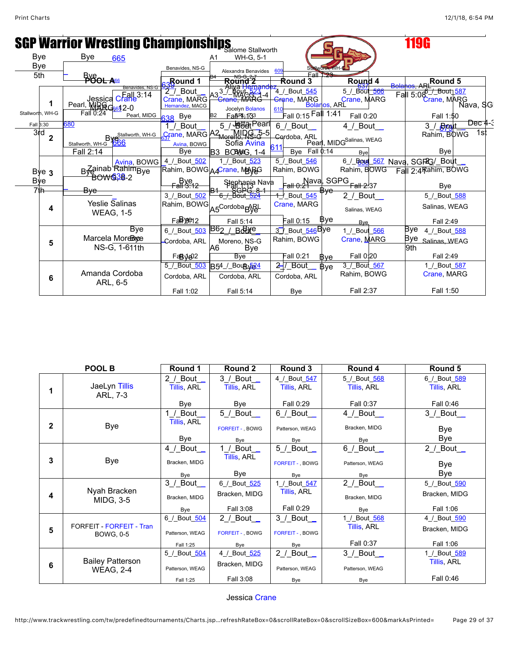|                       |                                                                                                       |                                                       |                                                                        |                                                       |                                                                   | 119G                                                        |
|-----------------------|-------------------------------------------------------------------------------------------------------|-------------------------------------------------------|------------------------------------------------------------------------|-------------------------------------------------------|-------------------------------------------------------------------|-------------------------------------------------------------|
|                       | <b>SGP Warrior Wrestling Championships</b> Stallworth                                                 |                                                       |                                                                        |                                                       |                                                                   |                                                             |
| Bye                   | Bye<br>665                                                                                            |                                                       | WH-G, 5-1<br>Α1                                                        |                                                       |                                                                   |                                                             |
| <b>Bye</b>            |                                                                                                       | Benavides, NS-G                                       | Alexandra Benavides                                                    | 60<br><b>Fall To</b>                                  |                                                                   |                                                             |
| 5th                   | $rac{B}{B}$ OOL ASS                                                                                   | <b>Round 1</b>                                        | Round 2                                                                | Round 3                                               | Round 4                                                           | Round 5                                                     |
|                       | Benavides, NS-G<br>Jessica Cratile <sup>T</sup><br>Jessica Cratile<br>Pearl, MIRRG <sub>86</sub> 42-0 | $\frac{29}{2}$ Bout<br>Crane, MARG<br>Hernandez, MACG | Jocelyn Bolanos                                                        | 4_/_Bout_ <del>545</del><br>Crane, MARG<br><b>610</b> | $5/$ Bout $\frac{637}{566}$<br>Crane, MARG<br>Bolarios, ARL       | Fall 5:08-/_Bout <sub>1587</sub><br>Crane, MARG<br>Nava, SG |
| Stallworth, WH-G      | Fall 0:24<br>Pearl, MIDG                                                                              | 638 Bye                                               | FanRL, 173                                                             | Fall 0:15 Fall 1:41                                   | Fall 0:20                                                         | Fall 1:50                                                   |
| Fall 3:30             | 680                                                                                                   | Bout                                                  |                                                                        | 6_/_Bout                                              | $4$ /_Bout_                                                       | Dec 4-3<br>3 <sup>/</sup>                                   |
| 3rd<br>$\overline{2}$ | By Stallworth, WH-G<br>Stallworth, WH-G                                                               | Avina, BOWG                                           | $\overline{G}$ rane, MARG $A2_{\text{Morph}}$ MIRG, 5-5<br>Sofia Avina | Cordoba, ARL                                          | Pearl, MIDGSalinas, WEAG                                          | 1st<br>Rahim, BOWG                                          |
|                       | Fall 2:14                                                                                             | <b>Bye</b>                                            | <b>BOBAG, 1-4</b><br>B3                                                | Bye Fall 0:14                                         | Bye                                                               | <b>Bye</b>                                                  |
| Bye <sub>3</sub>      | Avina, BOWG<br>B <sub>ve</sub> ainab Rahim <sub>Bye</sub>                                             | 4_/_Bout_502                                          | 1 / Bout 523<br>Rahim, BOWG <sub>A4</sub> Crane, MARG                  | $\overline{5}$ / Bout $\overline{546}$<br>Rahim, BOWG | 6_/_Boyd_567 Nava, SGP2G/_Bout<br>Rahim, BOWG                     | Fall 2:4Rahim, BOWG                                         |
| Bye<br>7th            | <b>BOW038-2</b>                                                                                       | Bye<br><del>Fall 3:12</del>                           | Stephania Nava<br>Reference                                            |                                                       | $\begin{bmatrix} 1 & 0.21 \\ 0.21 & 0.22 \end{bmatrix}$ Fall 0.21 | <b>B</b> ve                                                 |
|                       | Bye                                                                                                   | 3 / Bout 502                                          |                                                                        | + Bout 545                                            | $2$ / Bout                                                        | 5 / Bout 588                                                |
| 4                     | Yeslie Salinas<br><b>WEAG, 1-5</b>                                                                    | Rahim, BOWG                                           | A5 <sup>Cordoba</sup> R <sub>R</sub> RL                                | Crane, MARG                                           | Salinas, WEAG                                                     | Salinas, WEAG                                               |
|                       |                                                                                                       | Fan 196912                                            | Fall 5:14                                                              | Fall 0:15                                             | Bye<br><b>B</b> ve                                                | Fall 2:49                                                   |
|                       | Bye                                                                                                   | 6 / Bout 503                                          | <b>Be SARG</b><br>B62                                                  | 3 / Bout_546Bye                                       | 1 / Bout 566                                                      | Bye<br>4 / Bout 588                                         |
| 5                     | Marcela Morebyce<br>NS-G, 1-611th                                                                     | Cordoba, ARL                                          | Moreno, NS-G<br>A6<br>Bye                                              | Rahim, BOWG                                           | Crane, MARG                                                       | Bye<br>Salinas, WEAG<br>9th                                 |
|                       |                                                                                                       | Fan8√a02                                              | Bye                                                                    | Fall 0:21                                             | Fall 0:20<br>Bve                                                  | Fall 2:49                                                   |
| 6                     | Amanda Cordoba                                                                                        | 5 / Bout 503<br>Cordoba, ARL                          | B54_/_Bou By <sub>224</sub><br>Cordoba, ARL                            | $2$ / Bout<br>Cordoba, ARL                            | 3 / Bout 567<br>Bve<br>Rahim, BOWG                                | 1 / Bout 587<br>Crane, MARG                                 |
|                       | ARL, 6-5                                                                                              | Fall 1:02                                             | Fall 5:14                                                              | Bye                                                   | Fall 2:37                                                         | Fall 1:50                                                   |

|              | POOL B                                       | Round 1                      | Round 2                       | Round 3                            | Round 4                     | Round 5                            |
|--------------|----------------------------------------------|------------------------------|-------------------------------|------------------------------------|-----------------------------|------------------------------------|
|              | JaeLyn Tillis<br>ARL, 7-3                    | 2 / Bout $\_$<br>Tillis, ARL | $3/$ Bout $\_$<br>Tillis, ARL | 4 / Bout 547<br><b>Tillis, ARL</b> | 5 / Bout 568<br>Tillis, ARL | 6 / Bout 589<br><b>Tillis, ARL</b> |
|              |                                              | Bye                          | Bye                           | Fall 0:29                          | Fall 0:37                   | Fall 0:46                          |
|              |                                              | 1 / Bout _                   | $5/$ Bout $\_$                | 6 / Bout _                         | $4$ / Bout_                 | $3$ / Bout_                        |
| $\mathbf{2}$ | <b>Bye</b>                                   | Tillis, ARL                  | FORFEIT - , BOWG              | Patterson, WEAG                    | Bracken, MIDG               | Bye                                |
|              |                                              | Bye                          | Bye                           | Bye                                | Bye                         | Bye                                |
|              |                                              | 4 / Bout _                   | Bout _<br>1/<br>Tillis, ARL   | 5 / Bout _                         | $6/$ Bout $\_$              | $2$ / Bout $\_\_$                  |
| 3            | <b>Bye</b>                                   | Bracken, MIDG                |                               | <b>FORFEIT - , BOWG</b>            | Patterson, WEAG             | Bye                                |
|              |                                              | Bye                          | Bye                           | Bye                                | Bye                         | <b>Bye</b>                         |
|              |                                              | $3$ /_Bout__                 | 6_/_Bout_525                  | 1 / Bout 547                       | $2$ /_Bout__                | 5 / Bout 590                       |
| 4            | Nyah Bracken<br>MIDG, 3-5                    | Bracken, MIDG                | Bracken, MIDG                 | <b>Tillis, ARL</b>                 | Bracken, MIDG               | Bracken, MIDG                      |
|              |                                              | Bye                          | Fall 3:08                     | Fall 0:29                          | Bye                         | Fall 1:06                          |
|              |                                              | 6 / Bout 504                 | 2 / Bout _                    | $3$ /_Bout_                        | 1 / Bout 568                | 4_/_Bout_590                       |
| 5            | FORFEIT - FORFEIT - Tran<br><b>BOWG, 0-5</b> | Patterson, WEAG              | <b>FORFEIT - , BOWG</b>       | <b>FORFEIT - BOWG</b>              | <b>Tillis, ARL</b>          | Bracken, MIDG                      |
|              |                                              | Fall 1:25                    | Bye                           | Bye                                | Fall 0:37                   | Fall 1:06                          |
|              |                                              | 5 / Bout 504                 | 4 / Bout 525                  | 2 / Bout $\_$                      | $3/$ Bout $\_$              | 1 / Bout 589                       |
| 6            | <b>Bailey Patterson</b><br><b>WEAG, 2-4</b>  | Patterson, WEAG              | Bracken, MIDG                 | Patterson, WEAG                    | Patterson, WEAG             | <b>Tillis, ARL</b>                 |
|              |                                              | Fall 1:25                    | Fall 3:08                     | Bye                                | Bye                         | Fall 0:46                          |

Jessica [Crane](javascript:viewProfile(1009667009))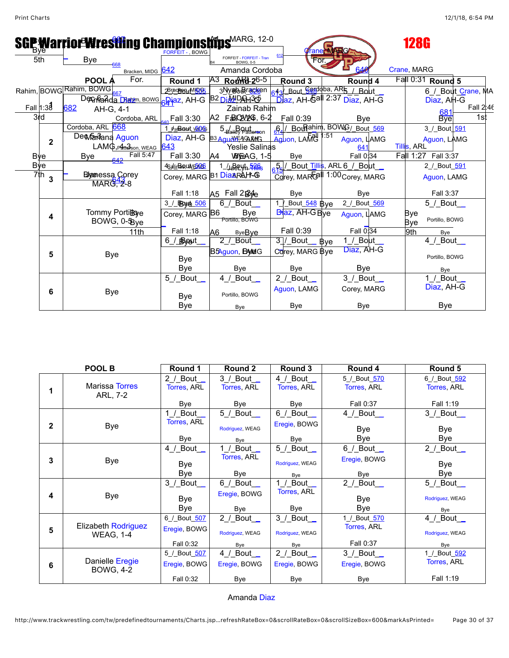|            |             |                         |                                |                                         | <b>FORFEIT - BOWG</b>          |                | <b>SGP MarriorWrestling Champions https MARG, 12-0</b> |                                                                        | <b>Taner MARG</b> |                | 128G                                  |
|------------|-------------|-------------------------|--------------------------------|-----------------------------------------|--------------------------------|----------------|--------------------------------------------------------|------------------------------------------------------------------------|-------------------|----------------|---------------------------------------|
| 5th        |             | <b>Bye</b>              | 668                            |                                         |                                |                | <b>FORFEIT - FORFEIT - Tran</b><br><b>BOWG, 0-5</b>    | For                                                                    |                   |                |                                       |
|            |             |                         |                                | Bracken, MIDG 642                       |                                |                | Amanda Cordoba                                         |                                                                        |                   |                | Crane, MARG                           |
|            |             | POOL A                  |                                | For.                                    | Round 1                        |                | A <sub>3</sub> Rochel-2 <sup>6-5</sup>                 | Round 3                                                                |                   | Round 4        | Fall 0:31 Round 5                     |
|            |             | Rahim, BOWG Rahim, BOWG |                                |                                         | 2Brackery MI505                |                | ვNyaaModFranc <mark>k</mark> een                       | 643 Bout Gordoba, AR5 / Bout                                           |                   |                | 6 / Bout Crane, MA                    |
|            |             |                         |                                |                                         | Dennada Diarm, BOWG Biaz, AH-G |                | B <sub>2</sub> Dia UDA <sub>11</sub> 365               | $\overline{\text{Di}}$ az, AH- $\overline{\text{Gal}}$ 2:37 Diaz, AH-G |                   |                | Diaz, AH-G                            |
| Fall 1:38  |             | 682                     | AH-G, 4-1                      |                                         |                                |                | Zainab Rahim                                           |                                                                        |                   |                | Fall 2:46<br>$\frac{681}{\text{Bye}}$ |
|            | 3rd         |                         |                                | Cordoba, ARL                            | Fall 3:30                      |                | А2 F&RO20246, 6-2                                      | Fall 0:39                                                              |                   | Bye            | 1st                                   |
|            |             | Cordoba, ARL 668        |                                |                                         | 1 PatBBbH, VOEAD               |                | 5_Bailey Patterson                                     | 6. BouRahim, BOWG/ Bout 569                                            | :51               |                | 3_/_Bout_591                          |
|            | $\mathbf 2$ | De Manana Aguon         |                                |                                         | Diaz, AH-G B3 AquichEAGARMG    |                |                                                        | Aguon, LAMC                                                            |                   | Aguon, LAMG    | Aguon, LAMG                           |
|            |             |                         |                                | LAMG, Patte Sson, WEAG 643<br>Fall 5:47 |                                |                | <b>Yeslie Salinas</b>                                  |                                                                        |                   | 641            | <b>Tillis, ARL</b>                    |
| <b>Bye</b> |             | Bye                     |                                |                                         | Fall 3:30                      | A4             | <b>WEAG, 1-5</b>                                       | Bye                                                                    |                   | Fall 0:34      | Fall 1:27 Fall 3:37                   |
|            | <b>Bye</b>  |                         |                                |                                         | 4SalirBo,uvr <mark>EA06</mark> |                | 1 Japan 580                                            | 65/ Bout_Tillis, ARL 6_/_Bout_                                         |                   |                | 2 / Bout 591                          |
|            | 7th<br>3    |                         | Blyaenessa Corey<br>$MAR242-8$ |                                         | Corey, MARG B1 DiaARAH-G       |                |                                                        | Corey, MARCAL 1:00 Corey, MARG                                         |                   |                | Aguon, LAMG                           |
|            |             |                         |                                |                                         |                                |                |                                                        |                                                                        |                   |                |                                       |
|            |             |                         |                                |                                         | Fall 1:18                      |                | A5 Fall 2B <sub>He</sub>                               | Bye                                                                    |                   | Bye            | Fall 3:37                             |
|            |             |                         |                                |                                         | 3 / BByre 506                  |                | $6/$ Bout $\_$                                         | Bout_548 Bye                                                           |                   | 2 / Bout 569   | 5_/_Bout_                             |
|            | 4           |                         | Tommy Portibye<br>BOWG, 0-5 ye |                                         | Corey, MARG B6                 |                | Bye<br>Portillo, BOWG                                  | <b>Biaz, AH-G Bye</b>                                                  |                   | Aguon, LAMG    | Bye<br>Portillo, BOWG                 |
|            |             |                         |                                |                                         | Fall 1:18                      |                |                                                        | Fall 0:39                                                              |                   | Fall 0:34      | Bye                                   |
|            |             |                         |                                | 11th                                    |                                | A <sub>6</sub> | <b>ByeBve</b><br>Bout                                  | $3$ / Bout                                                             |                   | 1 / Bout       | 9th<br>Bye<br>4 / Bout _              |
|            |             |                         |                                |                                         | 6 / Breaut                     |                |                                                        |                                                                        | Bve               | Diaz, AH-G     |                                       |
|            | 5           |                         | <b>Bye</b>                     |                                         | <b>Bye</b>                     |                | B5Aguon, BANEIG                                        | Corey, MARG Bye                                                        |                   |                | Portillo, BOWG                        |
|            |             |                         |                                |                                         | Bye                            |                | Bye                                                    | Bye                                                                    |                   | <b>Bye</b>     |                                       |
|            |             |                         |                                |                                         | 5 / Bout                       |                | 4 / Bout _                                             | $2$ / Bout                                                             |                   | $3/$ Bout $\_$ | Bye<br>1 / Bout _                     |
|            |             |                         |                                |                                         |                                |                |                                                        |                                                                        |                   |                | Diaz, AH-G                            |
|            | 6           |                         | <b>Bye</b>                     |                                         | <b>Bye</b>                     |                | Portillo, BOWG                                         | Aguon, LAMG                                                            |                   | Corey, MARG    |                                       |
|            |             |                         |                                |                                         | Bye                            |                | Bye                                                    | Bye                                                                    |                   | Bye            | <b>Bye</b>                            |

|              | POOL B                                         | Round 1                                   | Round 2                                 | Round 3                              | Round 4                                  | Round 5                                           |
|--------------|------------------------------------------------|-------------------------------------------|-----------------------------------------|--------------------------------------|------------------------------------------|---------------------------------------------------|
|              | Marissa Torres<br>ARL, 7-2                     | 2 / Bout $\_$<br>Torres, ARL<br>Bye       | 3 / Bout _<br>Torres, ARL<br>Bye        | 4 / Bout _<br>Torres, ARL<br>Bye     | 5 / Bout 570<br>Torres, ARL<br>Fall 0:37 | 6 / Bout 592<br>Torres, ARL<br>Fall 1:19          |
| $\mathbf{2}$ | <b>Bye</b>                                     | Bout _<br>Torres, ARL<br>Bye              | 5_/_Bout_<br>Rodriguez, WEAG<br>Bye     | $6$ / Bout<br>Eregie, BOWG<br>Bye    | $4$ / Bout_<br>Bye<br>Bye                | $3$ / Bout_<br>Bye<br>Bye                         |
| 3            | <b>Bye</b>                                     | 4 / Bout _<br>Bye<br>Bye                  | Bout_<br>Torres, ARL<br>Bye             | 5 / Bout _<br>Rodriguez, WEAG<br>Bye | $6$ / Bout_<br>Eregie, BOWG<br>Bye       | $2$ / Bout $\overline{\phantom{a}}$<br>Bye<br>Bye |
| 4            | <b>Bye</b>                                     | 3 /_Bout__<br><b>Bye</b><br>Bye           | 6 / Bout _<br>Eregie, BOWG<br>Bye       | Bout _<br>Torres, ARL<br>Bye         | $2$ / Bout<br>Bye<br>Bye                 | $5/$ Bout $\_$<br>Rodriguez, WEAG<br>Bye          |
| 5            | <b>Elizabeth Rodriguez</b><br><b>WEAG, 1-4</b> | 6_/_Bout_507<br>Eregie, BOWG<br>Fall 0:32 | 2 / Bout $\_$<br>Rodriguez, WEAG<br>Bye | $3$ / Bout<br>Rodriguez, WEAG<br>Bye | 1 / Bout 570<br>Torres, ARL<br>Fall 0:37 | 4_/_Bout_<br>Rodriguez, WEAG<br>Bye               |
| 6            | Danielle Eregie<br><b>BOWG, 4-2</b>            | 5 / Bout 507<br>Eregie, BOWG<br>Fall 0:32 | 4 / Bout _<br>Eregie, BOWG<br>Bye       | $2$ / Bout<br>Eregie, BOWG<br>Bye    | $3/$ Bout $\_$<br>Eregie, BOWG<br>Bye    | 1 / Bout 592<br>Torres, ARL<br>Fall 1:19          |

Amanda [Diaz](javascript:viewProfile(664837132))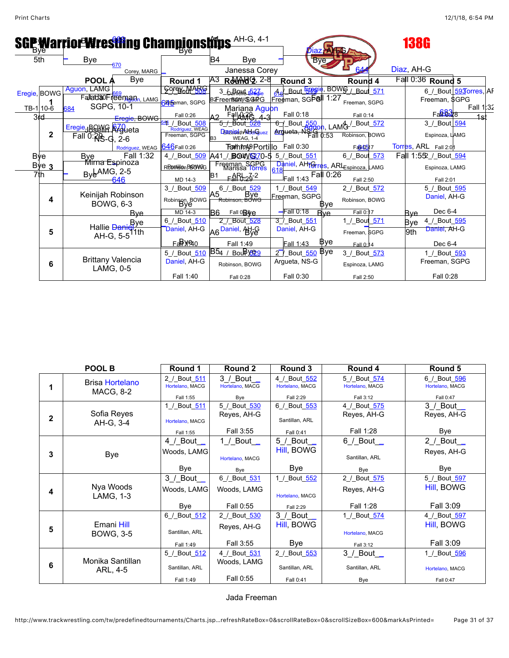|              |     |                              | <b>SGP Warrior Wresting Championships AH-G, 4-1</b> |                                              |                            |                                                   |               | זונ                       |            |                                                                                |            | 138G                   |           |
|--------------|-----|------------------------------|-----------------------------------------------------|----------------------------------------------|----------------------------|---------------------------------------------------|---------------|---------------------------|------------|--------------------------------------------------------------------------------|------------|------------------------|-----------|
| 5th          |     | Bye                          | 670                                                 |                                              | <b>B4</b>                  | Bye                                               |               | <b>B</b> ve               |            |                                                                                |            |                        |           |
|              |     |                              | Corey, MARG                                         |                                              |                            | Janessa Corey                                     |               |                           |            |                                                                                | Diaz, AH-G |                        |           |
|              |     | POOL A                       | <b>Bye</b>                                          | Round 1                                      |                            | Rother 2-8                                        |               | Round 3                   |            | Round 4                                                                        |            | Fall 0:36 Round 5      |           |
| Eregie, BOWG |     | Aguon, LAMG                  |                                                     | <b>Solek Wolfle</b>                          |                            | 3_6 Revis 527                                     | சி            |                           |            | Bout 5299ie, BOWS / Bout 571                                                   |            | 6 / Bout 593 orres, AF |           |
|              |     |                              | Fallada0Freeman <sub>n, LAMG</sub>                  | <b>SE E</b> eman, SGPG                       |                            | B2FreemBannySSG4PG                                |               | Freeman, SGP&II           | 1:27       | Freeman, SGPG                                                                  |            | Freeman, \$GPG         |           |
| TB-1 10-6    | 684 |                              | SGPG, 10-1                                          |                                              |                            | Mariana Aguon                                     |               | Fall 0:18                 |            |                                                                                |            | Fan <sup>683</sup> 78  | Fall 1:32 |
| 3rd          |     |                              | Eregie, BOWG                                        | Fall 0:26<br><del>41</del> / Bout <u>508</u> | 0 ۸                        | Falla                                             |               |                           |            | Fall 0:14                                                                      |            | 3 / Bout 594           | 1st       |
|              |     | Eregie, BOWG R70ueta         |                                                     | Rodriguez, WEAG                              |                            | DraziotnAddfiguez                                 |               |                           |            | <del>6</del> / Bout 550   AUA / Bout 572<br>Arqueta, N¥all 0:53 Robinson, BOWG |            |                        |           |
| $\mathbf{2}$ |     | $Fall 0: R8 - C, 2-6$        |                                                     | Freeman, SGPG                                | B <sub>3</sub>             | <b>WEAG, 1-4</b>                                  |               |                           |            |                                                                                |            | Espinoza, LAMG         |           |
|              |     |                              | Rodriguez, WEAG                                     | 646 Fall 0:26                                |                            | <b>Forthtm49Portillo</b> Fall 0:30                |               |                           |            | Fa040517                                                                       |            | Torres, ARL Fall 2:01  |           |
| Bye          |     | Bye Fall 1<br>Mirna Espinoza | Fall 1:32                                           | 4 / Bout 509                                 | A41                        | BOW <u>V627</u> 0-5                               |               | 5_/_Bout_551              |            | 6 / Bout 573                                                                   |            | Fall 1:552_/_Bout_594  |           |
| Bye $3$      |     |                              |                                                     | RBbitillon BBOWGG                            |                            | Freeman, SGPG                                     | 618           |                           |            | Daniel, AHTGrres, ARLEspinoza, LAMG                                            |            | Espinoza, LAMG         |           |
| 7th          |     | $ByE^{AMG, 2-5}$             |                                                     | MD 14-3                                      | IB1                        | $F_1$ ARL-26-2                                    |               | Fall 1:43 Fall 0:26       |            | Fall 2:50                                                                      |            | Fall 2:01              |           |
|              |     |                              |                                                     | 3 / Bout 509                                 |                            | 6 / Bout 529                                      |               | 1 / Bout 549              |            | 2 / Bout 572                                                                   |            | 5 / Bout 595           |           |
|              |     |                              | Keinijah Robinson                                   |                                              | A5                         | , <sup>— —</sup> Bye<br><del>Robinson, BOWG</del> |               | Freeman, SGPG             |            |                                                                                |            | Daniel, AH-G           |           |
| 4            |     |                              | <b>BOWG, 6-3</b>                                    | Robinson, BOWG                               |                            |                                                   |               |                           | Bve        | Robinson, BOWG                                                                 |            |                        |           |
|              |     |                              | <b>B</b> ve                                         | MD 14-3                                      | IB6.                       | Fall $0B\$                                        |               | $-$ Fall 0:18             | <b>Rve</b> | Fall 0:17                                                                      | Bve        | Dec 6-4                |           |
|              |     |                              | Hallie Daniel Pye                                   | 6 / Bout 510                                 |                            | 2 / Bout 528                                      |               | 3 / Bout 551              |            | 1 / Bout 571                                                                   | Bye        | 4 / Bout 595           |           |
| 5            |     |                              | ľ1th                                                | Daniel, AH-G                                 | A6 <sup>Daniel</sup> , Nte |                                                   |               | Daniel, AH-G              |            | Freeman, SGPG                                                                  | 9th        | Daniel, AH-G           |           |
|              |     |                              | AH-G, 5-5'                                          |                                              |                            | Fall 1:49                                         |               | Fall 1:43                 | Bye        | Fall 0:14                                                                      |            | Dec 6-4                |           |
|              |     |                              |                                                     | 5 / Bout 510                                 | $B5_4$ /                   | Bou Py <sub>29</sub>                              | $2^{\square}$ | _Bout_ <del>550</del> Bye |            | 3 / Bout 573                                                                   |            | 1 / Bout 593           |           |
| 6            |     |                              | <b>Brittany Valencia</b><br>LAMG, 0-5               | Daniel, AH-G                                 |                            | Robinson, BOWG                                    |               | Argueta, NS-G             |            | Espinoza, LAMG                                                                 |            | Freeman, SGPG          |           |
|              |     |                              |                                                     | Fall 1:40                                    |                            | Fall 0:28                                         |               | Fall 0:30                 |            | Fall 2:50                                                                      |            | Fall 0:28              |           |

|              | POOL B                                     | Round 1                                                   | Round 2                                                     | Round 3                                                  | Round 4                                               | Round 5                                           |
|--------------|--------------------------------------------|-----------------------------------------------------------|-------------------------------------------------------------|----------------------------------------------------------|-------------------------------------------------------|---------------------------------------------------|
|              | <b>Brisa Hortelano</b><br><b>MACG, 8-2</b> | 2 / Bout 511<br>Hortelano, MACG                           | 3 / Bout<br>Hortelano, MACG                                 | 4 / Bout 552<br>Hortelano, MACG                          | 5 / Bout 574<br>Hortelano, MACG                       | 6 / Bout 596<br>Hortelano, MACG                   |
| $\mathbf{2}$ | Sofia Reyes<br>AH-G, 3-4                   | Fall 1:55<br>1 / Bout 511<br>Hortelano, MACG<br>Fall 1:55 | Bye<br>5 / Bout 530<br>Reyes, AH-G<br>Fall 3:55             | Fall 2:29<br>6_/_Bout_553<br>Santillan, ARL<br>Fall 0:41 | Fall 3:12<br>4 / Bout 575<br>Reyes, AH-G<br>Fall 1:28 | Fall 0:47<br>$3/$ Bout $\_$<br>Reyes, AH-G<br>Bye |
| 3            | <b>Bye</b>                                 | 4 / Bout _<br>Woods, LAMG<br>Bye                          | 1 / Bout $\overline{\phantom{0}}$<br>Hortelano, MACG<br>Bye | 5 / Bout $\_$<br>Hill, BOWG<br>Bye                       | $6/$ Bout $\_$<br>Santillan, ARL<br>Bye               | $2$ / Bout_<br>Reves, AH-G<br>Bye                 |
| 4            | Nya Woods<br>LAMG, 1-3                     | 3 /_Bout__<br>Woods, LAMG<br>Bye                          | 6 / Bout 531<br>Woods, LAMG<br>Fall 0:55                    | 1 / Bout 552<br>Hortelano, MACG<br>Fall 2:29             | 2 / Bout 575<br>Reyes, AH-G<br>Fall 1:28              | 5 / Bout 597<br>Hill, BOWG<br>Fall 3:09           |
| 5            | Emani Hill<br><b>BOWG, 3-5</b>             | 6 / Bout 512<br>Santillan, ARL<br>Fall 1:49               | 2 / Bout 530<br>Reves, AH-G<br>Fall 3:55                    | 3 /_Bout_<br>Hill, BOWG<br>Bye                           | 1 / Bout 574<br>Hortelano, MACG<br>Fall 3:12          | 4 / Bout 597<br>Hill, BOWG<br>Fall 3:09           |
| 6            | Monika Santillan<br>ARL, 4-5               | 5 / Bout 512<br>Santillan, ARL<br>Fall 1:49               | 4 / Bout 531<br>Woods, LAMG<br>Fall 0:55                    | 2 / Bout 553<br>Santillan, ARL<br>Fall 0:41              | $3/$ Bout $\_$<br>Santillan, ARL<br>Bye               | 1 / Bout 596<br>Hortelano, MACG<br>Fall 0:47      |

Jada Freeman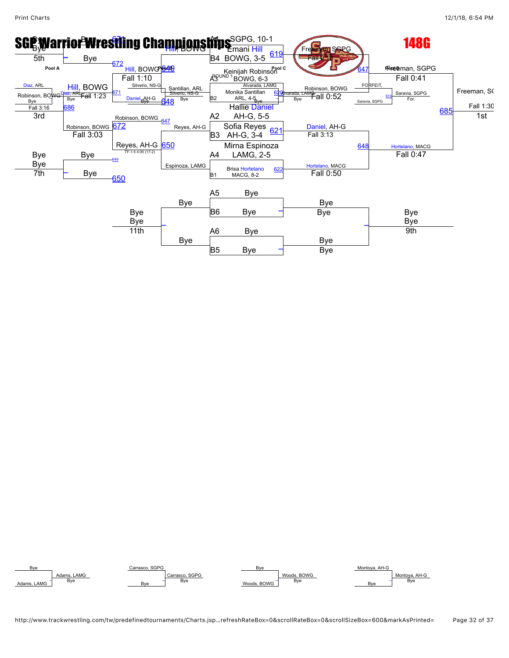

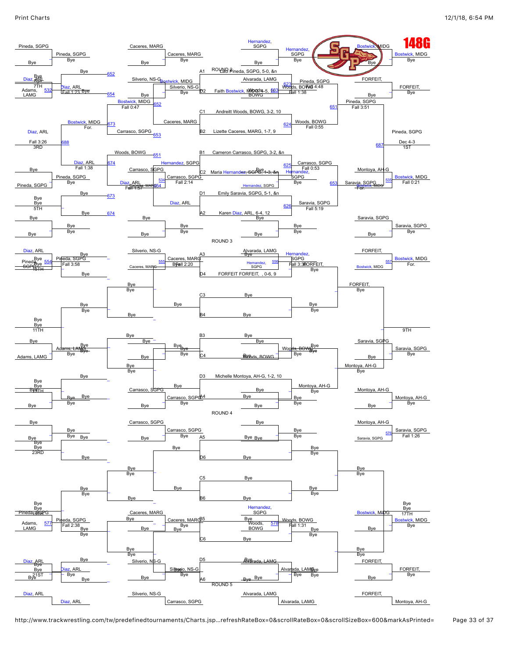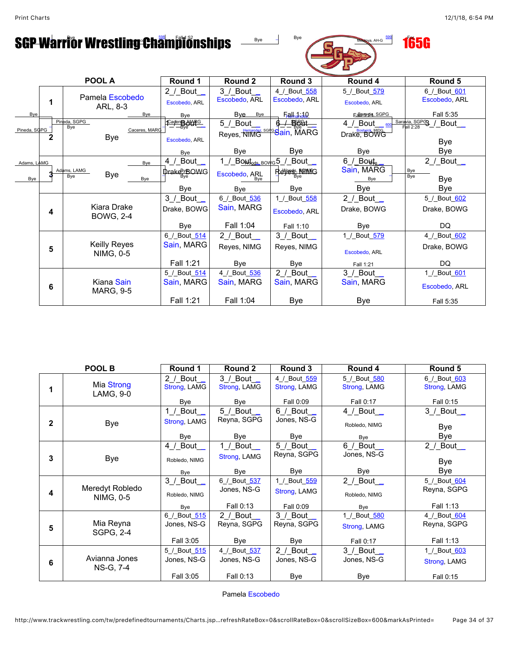# SGP Warrior Wrestlin<del>g Cha</del>mpionships  $\frac{1}{\sqrt{2\pi}}$  **165G**



|              |                                | POOL A                                          | Round 1                     | Round 2                             | Round 3                       | Round 4                                 | Round 5                                                |  |  |  |  |
|--------------|--------------------------------|-------------------------------------------------|-----------------------------|-------------------------------------|-------------------------------|-----------------------------------------|--------------------------------------------------------|--|--|--|--|
|              | 1                              | Pamela Escobedo<br>ARL, 8-3                     | $2$ / Bout<br>Escobedo, ARL | $3$ / Bout $_{-}$<br>Escobedo, ARL  | 4 / Bout 558<br>Escobedo, ARL | 5 / Bout 579<br>Escobedo, ARL           | 6 / Bout 601<br>Escobedo, ARL                          |  |  |  |  |
| Bye          |                                | Bye                                             | Bye                         | Bye<br>Bye                          | Fall, 1.10                    | <b>Fanancia</b> , SGPG                  | Fall 5:35                                              |  |  |  |  |
| Pineda, SGPG |                                | Pineda, SGPG<br>Bye<br>Caceres, MARG            | Cageres MARG                | 5_/_Bout_<br>Reyes, NIMG Sain, MARG | <del>_/_§§\$t__</del>         | 4 / Bout $_{\text{600}}$<br>Drake, BOWG | $\frac{\text{Saravia, SGPG}}{\text{Fall 2:28}}$ / Bout |  |  |  |  |
|              |                                | <b>Bye</b>                                      | Escobedo, ARL               |                                     |                               |                                         | <b>Bye</b>                                             |  |  |  |  |
|              |                                |                                                 | Bye                         | Bye                                 | Bye                           | <b>Bye</b>                              | Bye                                                    |  |  |  |  |
| Adams, LAMG  |                                | Bye                                             | 4_/_Bout                    | 1_/_BONdods_BOWG5_/_BOUt_           |                               | $6/$ Bout <sub>e</sub> .                | 2 / Bout $\_$                                          |  |  |  |  |
| Bye          |                                | Adams, LAMG<br><b>Bye</b><br><b>B</b> ve<br>Bye | Drake <sup>By</sup> BOWG    | Escobedo, ARL<br><b>Bve</b>         | Revess, <b>ROWC</b>           | Sain, MARG<br>Bye                       | Bye<br>Bye<br>Bye                                      |  |  |  |  |
|              |                                |                                                 | Bye                         | Bye                                 | Bye                           | <b>Bye</b>                              | Bye                                                    |  |  |  |  |
|              |                                |                                                 | $3 /$ Bout                  | 6_/_Bout_536                        | 1 / Bout 558                  | 2 / Bout $\_$                           | 5 / Bout 602                                           |  |  |  |  |
|              | 4                              | Kiara Drake<br><b>BOWG, 2-4</b>                 | Drake, BOWG                 | Sain, MARG                          | Escobedo, ARL                 | Drake, BOWG                             | Drake, BOWG                                            |  |  |  |  |
|              |                                |                                                 | Bye                         | Fall 1:04                           | Fall 1:10                     | Bye                                     | DQ.                                                    |  |  |  |  |
|              |                                |                                                 | 6_/_Bout_514                | 2 / Bout $\_$                       | 3 / Bout _                    | 1 / Bout 579                            | 4 / Bout 602                                           |  |  |  |  |
|              | Keilly Reyes<br>5<br>NIMG, 0-5 |                                                 | Sain, MARG                  | Reves, NIMG                         | Reves, NIMG                   | Escobedo, ARL                           | Drake, BOWG                                            |  |  |  |  |
|              |                                |                                                 | Fall 1:21                   | <b>B</b> ve                         | Bye                           | Fall 1:21                               | DQ                                                     |  |  |  |  |
|              |                                |                                                 | 5 / Bout 514                | 4 / Bout 536                        | 2 / Bout _                    | 3 / Bout _                              | 1 / Bout 601                                           |  |  |  |  |
|              | 6                              | Kiana Sain<br><b>MARG, 9-5</b>                  | Sain, MARG                  | Sain, MARG                          | Sain, MARG                    | Sain, MARG                              | Escobedo, ARL                                          |  |  |  |  |
|              |                                |                                                 | Fall 1:21                   | Fall 1:04                           | Bye                           | <b>Bye</b>                              | Fall 5:35                                              |  |  |  |  |

|              | POOL B                       | Round 1                                                           | Round 2                                  | Round 3                                                 | Round 4                                   | Round 5                                   |
|--------------|------------------------------|-------------------------------------------------------------------|------------------------------------------|---------------------------------------------------------|-------------------------------------------|-------------------------------------------|
|              | Mia Strong<br>LAMG, 9-0      | $2 /$ Bout $\overline{\phantom{a}}$<br>Strong, LAMG<br><b>Bye</b> | 3 / Bout<br>Strong, LAMG<br>Bye          | 4 / Bout 559<br>Strong, LAMG<br>Fall 0:09               | 5 / Bout 580<br>Strong, LAMG<br>Fall 0:17 | 6 / Bout 603<br>Strong, LAMG<br>Fall 0:15 |
| $\mathbf{2}$ | Bye                          | 1 / Bout $\_$<br>Strong, LAMG<br><b>Bye</b>                       | 5 /_Bout_<br>Reyna, SGPG<br>Bye          | $6/$ Bout<br>Jones, NS-G<br>Bye                         | 4 / Bout $\_$<br>Robledo, NIMG<br>Bye     | 3 / Bout _<br>Bye<br>Bye                  |
| 3            | Bye                          | 4 / Bout _<br>Robledo, NIMG<br>Bye                                | 1 / Bout $\_$<br>Strong, LAMG<br>Bye     | $5/$ Bout<br>Reyna, SGPG<br>Bye                         | $6/$ Bout $\_$<br>Jones, NS-G<br>Bye      | $2$ / Bout<br>Bye<br>Bye                  |
| 4            | Meredyt Robledo<br>NIMG, 0-5 | $3/$ Bout $\_$<br>Robledo, NIMG<br>Bye                            | 6_/_Bout_537<br>Jones, NS-G<br>Fall 0:13 | 1_/_Bout_559<br>Strong, LAMG<br>Fall 0:09               | 2 / Bout $\_$<br>Robledo, NIMG<br>Bye     | 5 / Bout 604<br>Reyna, SGPG<br>Fall 1:13  |
| 5            | Mia Reyna<br>SGPG, 2-4       | 6 / Bout 515<br>Jones, NS-G<br>Fall 3:05                          | $2 /$ Bout<br>Reyna, SGPG<br>Bye         | $3/$ Bout<br>Reyna, SGPG<br>Bye                         | 1_/_Bout_580<br>Strong, LAMG<br>Fall 0:17 | 4_/_Bout_604<br>Reyna, SGPG<br>Fall 1:13  |
| 6            | Avianna Jones<br>NS-G, 7-4   | 5 / Bout 515<br>Jones, NS-G<br>Fall 3:05                          | 4 / Bout 537<br>Jones, NS-G<br>Fall 0:13 | 2 / Bout $\overline{\phantom{a}}$<br>Jones, NS-G<br>Bye | 3 / Bout _<br>Jones, NS-G<br>Bye          | 1_/_Bout_603<br>Strong, LAMG<br>Fall 0:15 |

Pamela [Escobedo](javascript:viewProfile(1095085009))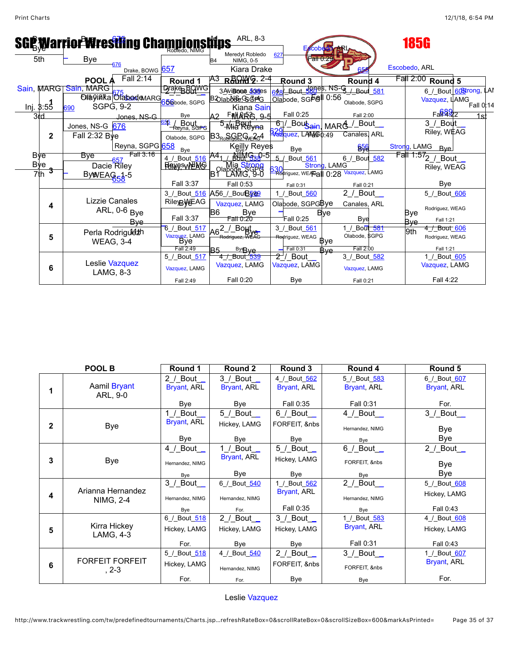| ARL, 8-3<br><b>SGE Warrior Wresting Championships</b><br><b>185G</b> |              |                                                |                                       |                                                   |                              |                                                   |                                                       |  |  |  |  |
|----------------------------------------------------------------------|--------------|------------------------------------------------|---------------------------------------|---------------------------------------------------|------------------------------|---------------------------------------------------|-------------------------------------------------------|--|--|--|--|
| 5th                                                                  |              | <b>Bye</b>                                     |                                       | Meredyt Robledo<br>NIMG, 0-5<br>B4                | 627<br>P <del>all 0</del>    |                                                   |                                                       |  |  |  |  |
|                                                                      |              | 676<br>Drake, BOWG 657                         |                                       | Kiara Drake                                       |                              |                                                   | Escobedo, ARL                                         |  |  |  |  |
|                                                                      |              | Fall 2:14<br>POOL /                            | Round 1                               | R&MYG, 2-4                                        | Round 3                      | Round 4                                           | Fall 2:00 Round 5                                     |  |  |  |  |
|                                                                      |              | Sain, MARG Sain, MARG                          | <u>Буаке вОмс</u>                     | 3 AviBona 50 <sub>18</sub> es                     |                              | 648 Bout 580es, NS-G / Bout 581                   | 6_/_Bout_605trong, LAI                                |  |  |  |  |
|                                                                      |              | Eduyinka Ofabood MARG                          | <b>Sbabode, SGPG</b>                  | <b>B20labble@G@PG</b>                             | Olabode, SGFell 0:56         | Olabode, SGPG                                     | $\frac{6}{2}$ Vazquez, $\frac{1}{4}$ AMG<br>Fall 0.14 |  |  |  |  |
| Inj. 3:55                                                            |              | <b>SGPG, 9-2</b><br>690                        |                                       | Kiana Sain                                        | Fall 0:25                    | Fall 2:00                                         | $Fa\frac{689}{2}$                                     |  |  |  |  |
| 3rd                                                                  |              | Innes NS-G                                     | Bye                                   | <u>FANARA 0-5</u>                                 |                              |                                                   | 1 <sup>5</sup>                                        |  |  |  |  |
|                                                                      |              | Jones, NS-G 676                                | <mark>≟ / Bout</mark><br>⊤Reyna, SGPG | S Mid Reyna                                       | 677                          | _ <sup>Bou</sup> stain, MARG_ <sup>/_Bout</sup> _ | 3 / Bout<br>Riley, WEAG                               |  |  |  |  |
|                                                                      | $\mathbf{2}$ | Fall $2:32$ Bye                                | Olabode, SGPG                         | B <sub>3Roo</sub> GePG <sub>E3G</sub> 4           | <b>A Hazquez, LAR4060:49</b> | Canales, ARL                                      |                                                       |  |  |  |  |
|                                                                      |              | Reyna, SGPG 658                                | Bye                                   | Keilly Reyes                                      | Bye                          | <b>656</b>                                        | Strong, LAMG<br>Byel                                  |  |  |  |  |
| Bye                                                                  |              | Fall 3:16<br>Bve                               | 4 / Bout 516                          | <b>ANIM G38-51</b>                                | Bout 561                     | 6 / Bout 582                                      | Fall<br>$.572$ / Bout                                 |  |  |  |  |
| <b>Bye</b>                                                           |              | <del>s ____657</del><br>Dacie Riley            | <b>RAKESWEAG</b>                      |                                                   |                              | Strong, LAMG                                      | Riley, WEAG                                           |  |  |  |  |
| 7th                                                                  |              | ByWEAG <sub>54-5</sub>                         |                                       | olabde <mark>, Stropg</mark><br>1 LAMG, 9-0<br>Βſ | Rodriguez, WEAGall 0:28      | Vazquez, LAMG                                     |                                                       |  |  |  |  |
|                                                                      |              |                                                | Fall 3:37                             | Fall 0:53                                         | Fall 0:31                    | Fall 0:21                                         | Bye                                                   |  |  |  |  |
|                                                                      |              |                                                |                                       | 3_/_Bout_516 A56_/_BouB500                        | 1_/_Bout_560                 | 2 / Bout $\_$                                     | 5 / Bout 606                                          |  |  |  |  |
|                                                                      | 4            | Lizzie Canales<br>ARL, 0-6 <sub>Bye</sub>      | <b>RileyBWEAG</b>                     | Vazquez, LAMG                                     | Olabode, SGPGBye             | Canales, ARL                                      |                                                       |  |  |  |  |
|                                                                      |              |                                                |                                       | <b>B</b> 6<br>Bye                                 |                              | Bve                                               | Rodriguez, WEAG<br>Bye                                |  |  |  |  |
|                                                                      |              | Bve                                            | Fall 3:37                             | Fall 0:20                                         | Fall 0:25                    | Bye                                               | Fall 1:21<br>Bye                                      |  |  |  |  |
| 5                                                                    |              | Perla Rodrigu <sup>1</sup><br><b>WEAG, 3-4</b> | 6 / Bout 517                          | $\sqrt{\text{Bo}}$                                | 3_/_Bout_561                 | 1 / Bout 581                                      | <del>4 / Bout 606</del><br>9th                        |  |  |  |  |
|                                                                      |              |                                                | Vazquez, LAMG<br>Bye                  |                                                   | Rodriguez, WEAG              | Olabode, \$GPG<br>Bye                             | Rodriguez, WEAG                                       |  |  |  |  |
|                                                                      |              |                                                | Fall 2:49                             | <b>ByRye</b><br>R5                                | Fall 0:31                    | Fall 2:00<br>Rve                                  | Fall 1:21                                             |  |  |  |  |
|                                                                      |              |                                                | 5 / Bout 517                          | 4_/_Bout_539                                      | <del>2</del> / Bout          | 3 / Bout 582                                      | 1 / Bout 605                                          |  |  |  |  |
|                                                                      | 6            | Leslie Vazquez<br>LAMG, 8-3                    | Vazquez, LAMG                         | Vazquez, LAMG                                     | Vazquez, LAMG                | Vazquez, LAMG                                     | Vazquez, LAMG                                         |  |  |  |  |
|                                                                      |              |                                                | Fall 2:49                             | Fall 0:20                                         | Bye                          | Fall 0:21                                         | Fall 4:22                                             |  |  |  |  |

| POOL B       |                                   | Round 1                                          | Round 2                                 | Round 3                                   | Round 4                                                     | Round 5                                    |
|--------------|-----------------------------------|--------------------------------------------------|-----------------------------------------|-------------------------------------------|-------------------------------------------------------------|--------------------------------------------|
|              | Aamil Bryant<br>ARL, 9-0          | 2 / Bout $\_$<br>Bryant, ARL<br><b>Bye</b>       | 3 / Bout _<br>Bryant, ARL<br>Bye        | 4 / Bout 562<br>Bryant, ARL<br>Fall 0:35  | 5 / Bout 583<br>Bryant, ARL<br>Fall 0:31                    | 6 / Bout 607<br>Bryant, ARL<br>For.        |
| $\mathbf{2}$ | <b>Bye</b>                        | 1 / Bout _<br>Bryant, ARL<br>Bye                 | 5_/_Bout__<br>Hickey, LAMG<br>Bye       | 6 / Bout _<br>FORFEIT, &nbs<br>Bye        | 4 / Bout $-$<br>Hernandez, NIMG<br>Bye                      | $3$ / Bout_<br>Bye<br>Bye                  |
| 3            | <b>Bye</b>                        | 4_/_Bout_<br>Hernandez, NIMG<br>Bye              | / Bout _<br>Bryant, ARL<br>Bye          | 5 / Bout _<br>Hickey, LAMG<br>Bye         | $6$ / Bout_<br>FORFEIT, &nbs<br>Bye                         | $2$ / Bout $\_\_$<br>Bye<br>Bye            |
| 4            | Arianna Hernandez<br>NIMG, 2-4    | $3$ / Bout_<br>Hernandez, NIMG<br>Bye            | 6_/_Bout_540<br>Hernandez, NIMG<br>For. | 1 / Bout 562<br>Bryant, ARL<br>Fall 0:35  | $2$ / Bout_<br>Hernandez, NIMG<br>Bve                       | 5 / Bout 608<br>Hickey, LAMG<br>Fall 0:43  |
| 5            | Kirra Hickey<br>LAMG, 4-3         | 6_/_Bout_518<br>Hickey, LAMG<br>For.             | $2$ / Bout_<br>Hickey, LAMG<br>Bye      | 3 / Bout _<br>Hickey, LAMG<br>Bye         | 1 / Bout 583<br>Bryant, ARL<br>Fall 0:31                    | 4 / Bout 608<br>Hickey, LAMG<br>Fall 0:43  |
| 6            | <b>FORFEIT FORFEIT</b><br>$, 2-3$ | 5_/_Bout_ <del>518</del><br>Hickey, LAMG<br>For. | 4 / Bout 540<br>Hernandez, NIMG<br>For. | $2$ / Bout<br>FORFEIT, &nbs<br><b>Bye</b> | $3$ / Bout $\overline{\phantom{a}}$<br>FORFEIT, &nbs<br>Bye | 1 / Bout 607<br><b>Bryant, ARL</b><br>For. |

Leslie [Vazquez](javascript:viewProfile(1099261096))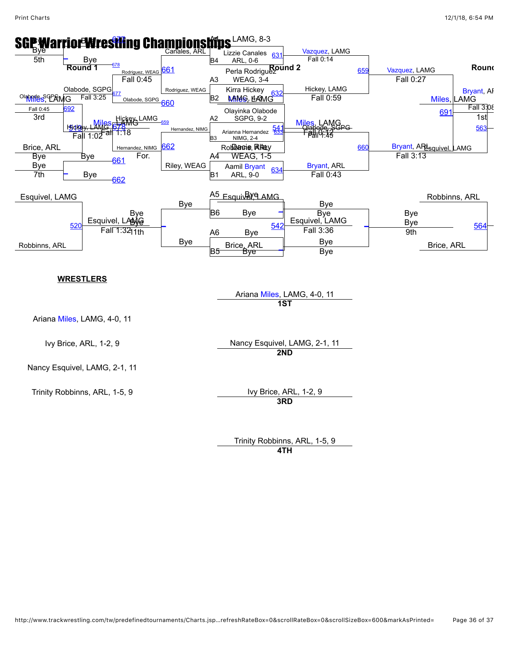